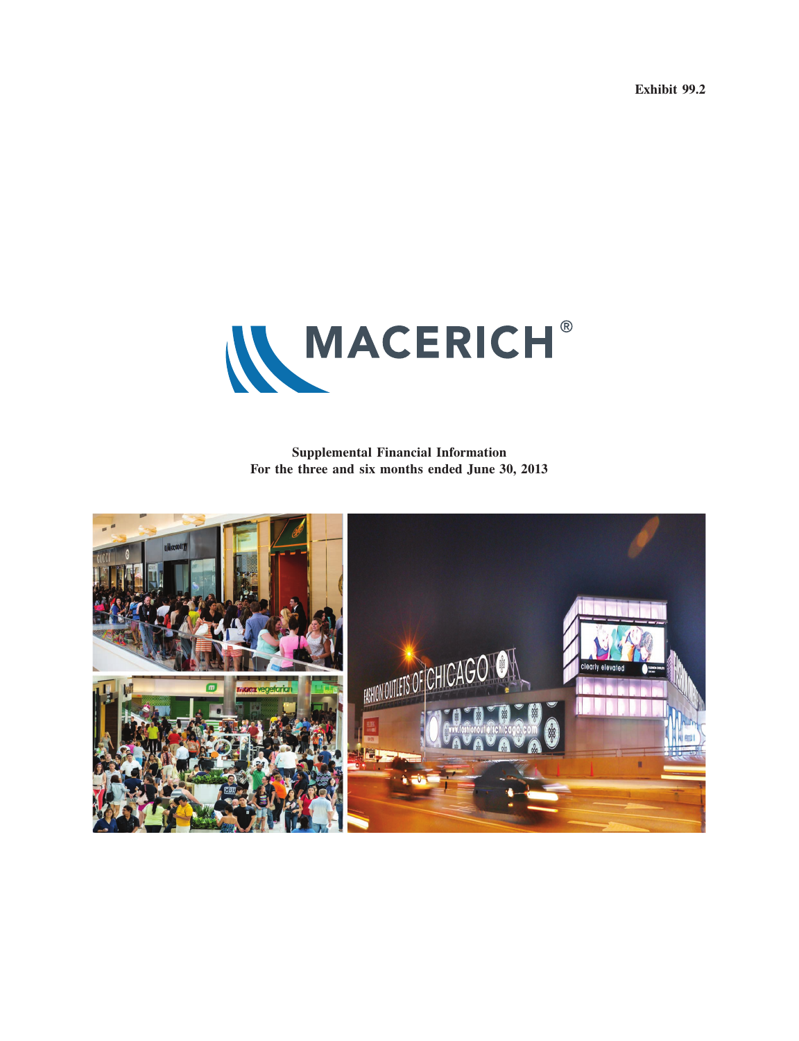**Exhibit 99.2**



**Supplemental Financial Information For the three and six months ended June 30, 2013**

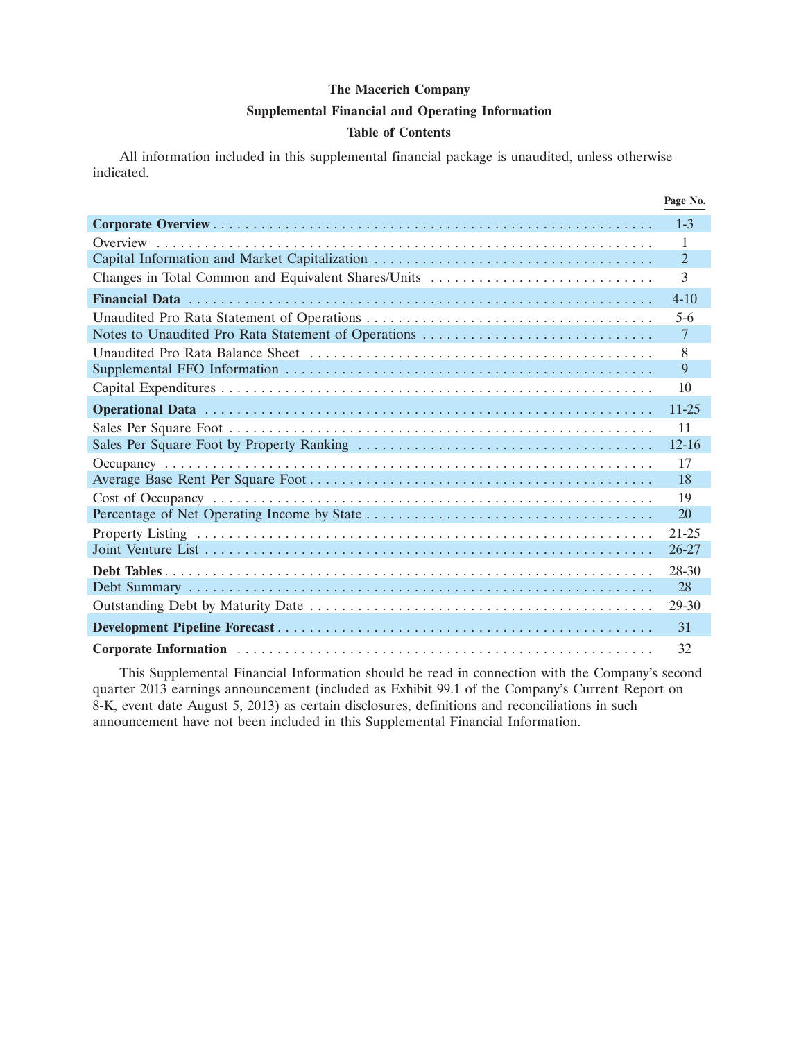#### **Supplemental Financial and Operating Information**

### **Table of Contents**

All information included in this supplemental financial package is unaudited, unless otherwise indicated.

|                                                     | Page No.        |
|-----------------------------------------------------|-----------------|
|                                                     | $1-3$           |
|                                                     | 1               |
| Capital Information and Market Capitalization       | $\overline{2}$  |
| Changes in Total Common and Equivalent Shares/Units | 3               |
|                                                     | $4 - 10$        |
|                                                     | $5-6$           |
| Notes to Unaudited Pro Rata Statement of Operations | $7\phantom{.0}$ |
|                                                     | 8               |
|                                                     | 9               |
|                                                     | 10              |
|                                                     | $11 - 25$       |
|                                                     | 11              |
|                                                     | $12 - 16$       |
|                                                     | 17              |
|                                                     | 18              |
|                                                     | 19              |
|                                                     | 20              |
|                                                     | $21 - 25$       |
|                                                     | $26 - 27$       |
|                                                     | 28-30           |
|                                                     | 28              |
|                                                     | 29-30           |
|                                                     | 31              |
|                                                     | 32              |

This Supplemental Financial Information should be read in connection with the Company's second quarter 2013 earnings announcement (included as Exhibit 99.1 of the Company's Current Report on 8-K, event date August 5, 2013) as certain disclosures, definitions and reconciliations in such announcement have not been included in this Supplemental Financial Information.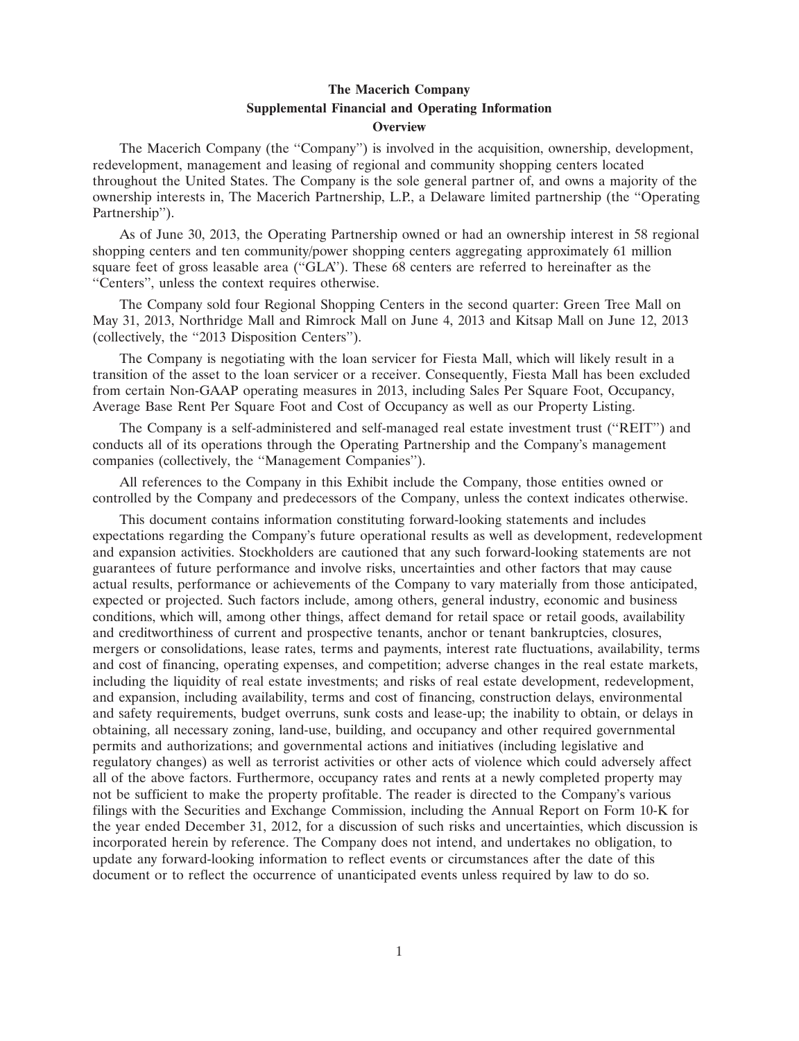## **The Macerich Company Supplemental Financial and Operating Information Overview**

The Macerich Company (the ''Company'') is involved in the acquisition, ownership, development, redevelopment, management and leasing of regional and community shopping centers located throughout the United States. The Company is the sole general partner of, and owns a majority of the ownership interests in, The Macerich Partnership, L.P., a Delaware limited partnership (the ''Operating Partnership'').

As of June 30, 2013, the Operating Partnership owned or had an ownership interest in 58 regional shopping centers and ten community/power shopping centers aggregating approximately 61 million square feet of gross leasable area (''GLA''). These 68 centers are referred to hereinafter as the ''Centers'', unless the context requires otherwise.

The Company sold four Regional Shopping Centers in the second quarter: Green Tree Mall on May 31, 2013, Northridge Mall and Rimrock Mall on June 4, 2013 and Kitsap Mall on June 12, 2013 (collectively, the ''2013 Disposition Centers'').

The Company is negotiating with the loan servicer for Fiesta Mall, which will likely result in a transition of the asset to the loan servicer or a receiver. Consequently, Fiesta Mall has been excluded from certain Non-GAAP operating measures in 2013, including Sales Per Square Foot, Occupancy, Average Base Rent Per Square Foot and Cost of Occupancy as well as our Property Listing.

The Company is a self-administered and self-managed real estate investment trust (''REIT'') and conducts all of its operations through the Operating Partnership and the Company's management companies (collectively, the ''Management Companies'').

All references to the Company in this Exhibit include the Company, those entities owned or controlled by the Company and predecessors of the Company, unless the context indicates otherwise.

This document contains information constituting forward-looking statements and includes expectations regarding the Company's future operational results as well as development, redevelopment and expansion activities. Stockholders are cautioned that any such forward-looking statements are not guarantees of future performance and involve risks, uncertainties and other factors that may cause actual results, performance or achievements of the Company to vary materially from those anticipated, expected or projected. Such factors include, among others, general industry, economic and business conditions, which will, among other things, affect demand for retail space or retail goods, availability and creditworthiness of current and prospective tenants, anchor or tenant bankruptcies, closures, mergers or consolidations, lease rates, terms and payments, interest rate fluctuations, availability, terms and cost of financing, operating expenses, and competition; adverse changes in the real estate markets, including the liquidity of real estate investments; and risks of real estate development, redevelopment, and expansion, including availability, terms and cost of financing, construction delays, environmental and safety requirements, budget overruns, sunk costs and lease-up; the inability to obtain, or delays in obtaining, all necessary zoning, land-use, building, and occupancy and other required governmental permits and authorizations; and governmental actions and initiatives (including legislative and regulatory changes) as well as terrorist activities or other acts of violence which could adversely affect all of the above factors. Furthermore, occupancy rates and rents at a newly completed property may not be sufficient to make the property profitable. The reader is directed to the Company's various filings with the Securities and Exchange Commission, including the Annual Report on Form 10-K for the year ended December 31, 2012, for a discussion of such risks and uncertainties, which discussion is incorporated herein by reference. The Company does not intend, and undertakes no obligation, to update any forward-looking information to reflect events or circumstances after the date of this document or to reflect the occurrence of unanticipated events unless required by law to do so.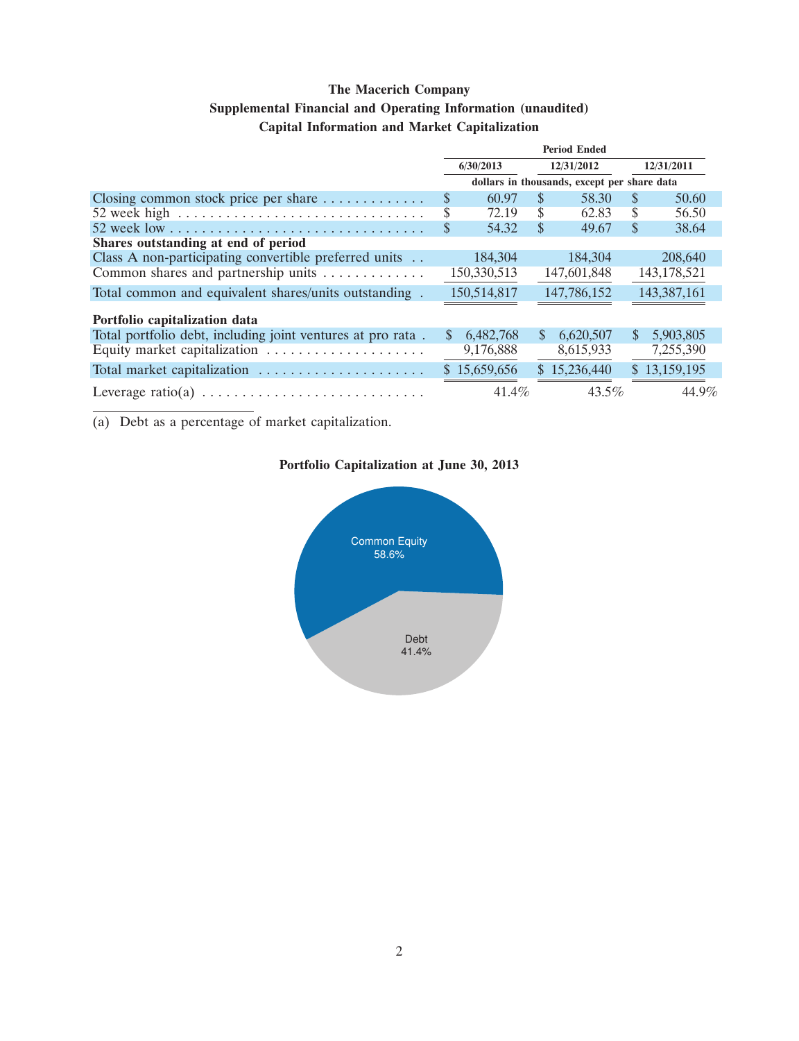## **Supplemental Financial and Operating Information (unaudited)**

## **Capital Information and Market Capitalization**

|                                                                            | <b>Period Ended</b>                         |              |               |              |               |               |  |
|----------------------------------------------------------------------------|---------------------------------------------|--------------|---------------|--------------|---------------|---------------|--|
|                                                                            | 6/30/2013                                   |              |               | 12/31/2012   |               | 12/31/2011    |  |
|                                                                            | dollars in thousands, except per share data |              |               |              |               |               |  |
| Closing common stock price per share $\dots \dots \dots$                   | \$                                          | 60.97        | S.            | 58.30        | <sup>\$</sup> | 50.60         |  |
| 52 week high $\dots \dots \dots \dots \dots \dots \dots \dots \dots \dots$ | S                                           | 72.19        | S             | 62.83        | S             | 56.50         |  |
|                                                                            | \$                                          | 54.32        | S             | 49.67        | <sup>\$</sup> | 38.64         |  |
| Shares outstanding at end of period                                        |                                             |              |               |              |               |               |  |
| Class A non-participating convertible preferred units                      |                                             | 184,304      |               | 184,304      |               | 208,640       |  |
| Common shares and partnership units                                        |                                             | 150,330,513  |               | 147,601,848  |               | 143, 178, 521 |  |
| Total common and equivalent shares/units outstanding.                      |                                             | 150,514,817  |               | 147,786,152  |               | 143,387,161   |  |
| Portfolio capitalization data                                              |                                             |              |               |              |               |               |  |
| Total portfolio debt, including joint ventures at pro rata.                | $\mathbb{S}$                                | 6,482,768    | <sup>\$</sup> | 6,620,507    | <sup>\$</sup> | 5,903,805     |  |
| Equity market capitalization                                               |                                             | 9,176,888    |               | 8,615,933    |               | 7,255,390     |  |
| Total market capitalization                                                |                                             | \$15,659,656 |               | \$15,236,440 |               | \$13,159,195  |  |
|                                                                            |                                             | $41.4\%$     |               | $43.5\%$     |               | 44.9%         |  |

(a) Debt as a percentage of market capitalization.

# **Portfolio Capitalization at June 30, 2013**

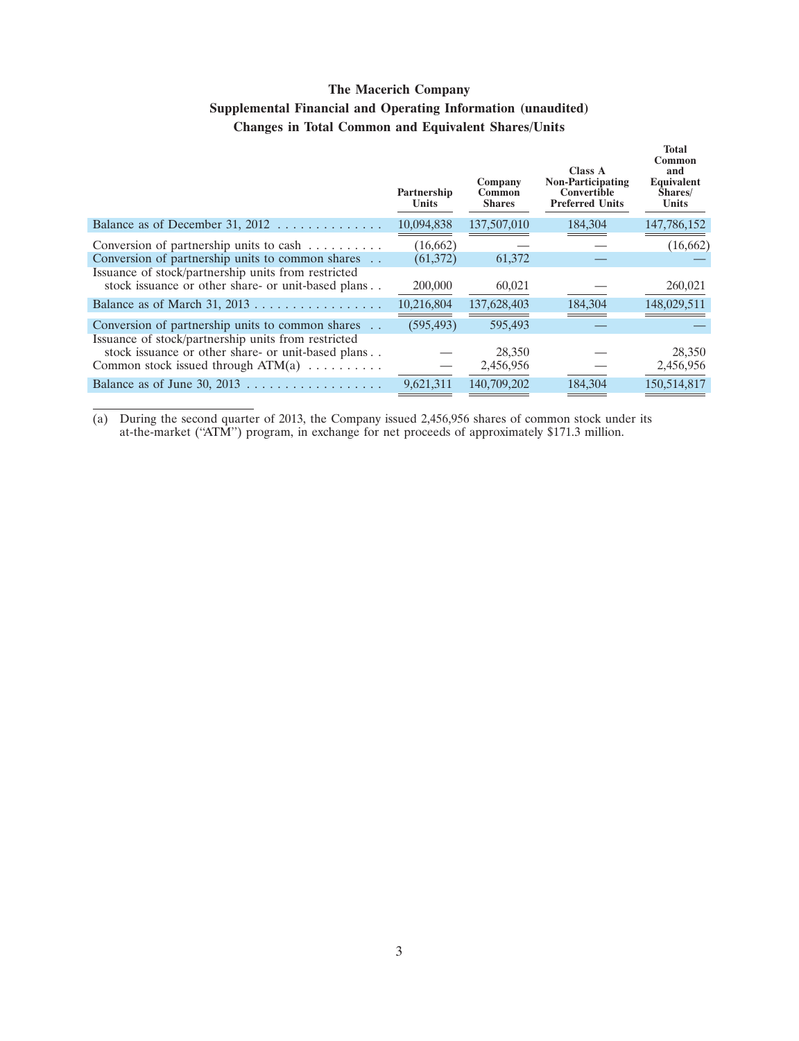# **The Macerich Company Supplemental Financial and Operating Information (unaudited) Changes in Total Common and Equivalent Shares/Units**

|                                                                                                                                                                                                                                                              | Partnership<br><b>Units</b> | Company<br>Common<br><b>Shares</b> | <b>Class A</b><br><b>Non-Participating</b><br>Convertible<br><b>Preferred Units</b> | <b>Total</b><br>Common<br>and<br>Equivalent<br>Shares/<br><b>Units</b> |
|--------------------------------------------------------------------------------------------------------------------------------------------------------------------------------------------------------------------------------------------------------------|-----------------------------|------------------------------------|-------------------------------------------------------------------------------------|------------------------------------------------------------------------|
| Balance as of December 31, 2012 $\dots \dots \dots \dots$                                                                                                                                                                                                    | 10,094,838                  | 137,507,010                        | 184,304                                                                             | 147,786,152                                                            |
| Conversion of partnership units to cash $\dots \dots$<br>Conversion of partnership units to common shares                                                                                                                                                    | (16,662)<br>(61, 372)       | 61,372                             |                                                                                     | (16, 662)                                                              |
| Issuance of stock/partnership units from restricted<br>stock issuance or other share- or unit-based plans                                                                                                                                                    | 200,000                     | 60,021                             |                                                                                     | 260,021                                                                |
|                                                                                                                                                                                                                                                              | 10,216,804                  | 137,628,403                        | 184,304                                                                             | 148,029,511                                                            |
| Conversion of partnership units to common shares<br>Issuance of stock/partnership units from restricted                                                                                                                                                      | (595, 493)                  | 595,493                            |                                                                                     |                                                                        |
| stock issuance or other share- or unit-based plans<br>Common stock issued through $ATM(a)$                                                                                                                                                                   |                             | 28,350<br>2,456,956                |                                                                                     | 28,350<br>2,456,956                                                    |
| Balance as of June 30, 2013<br>. The second contract is a second contract of the second contract of the second contract of the second contract of the second contract of the second contract of the second contract of the second contract of the second con | 9,621,311                   | 140,709,202                        | 184,304                                                                             | 150,514,817                                                            |

(a) During the second quarter of 2013, the Company issued 2,456,956 shares of common stock under its at-the-market (''ATM'') program, in exchange for net proceeds of approximately \$171.3 million.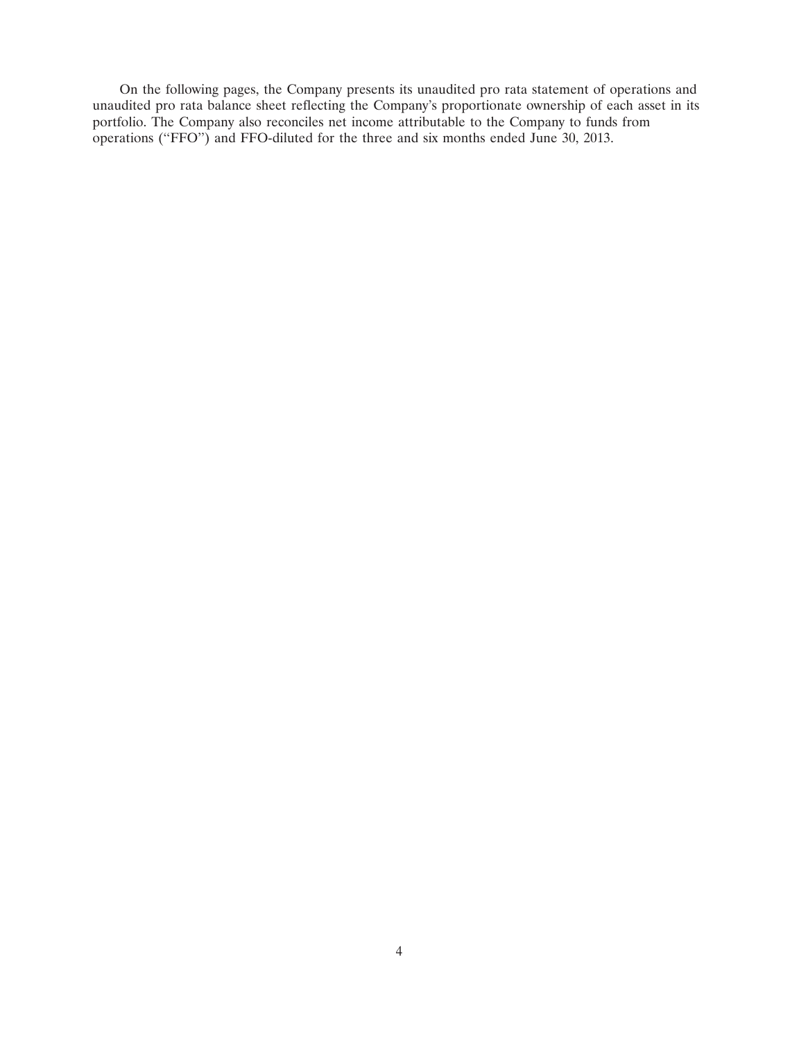On the following pages, the Company presents its unaudited pro rata statement of operations and unaudited pro rata balance sheet reflecting the Company's proportionate ownership of each asset in its portfolio. The Company also reconciles net income attributable to the Company to funds from operations (''FFO'') and FFO-diluted for the three and six months ended June 30, 2013.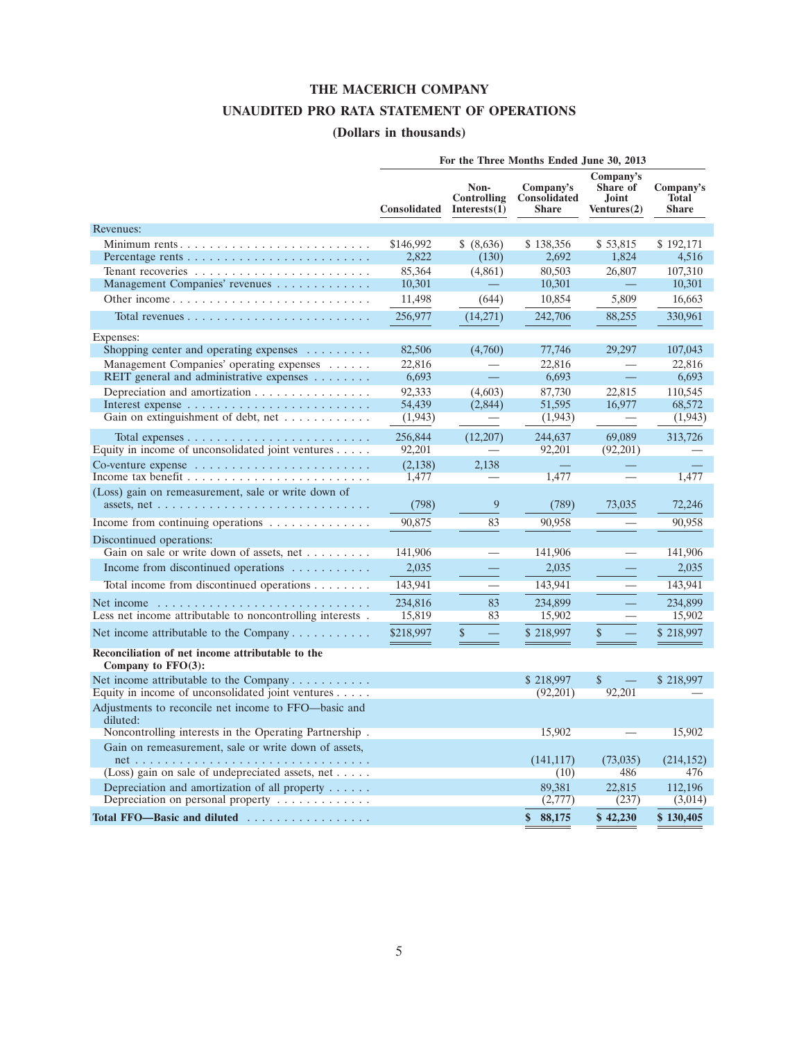## **THE MACERICH COMPANY**

## **UNAUDITED PRO RATA STATEMENT OF OPERATIONS**

# **(Dollars in thousands)**

|                                                                                                                                        |                     |                                            | For the Three Months Ended June 30, 2013         |                                               |                                           |
|----------------------------------------------------------------------------------------------------------------------------------------|---------------------|--------------------------------------------|--------------------------------------------------|-----------------------------------------------|-------------------------------------------|
|                                                                                                                                        | <b>Consolidated</b> | Non-<br><b>Controlling</b><br>Interests(1) | Company's<br><b>Consolidated</b><br><b>Share</b> | Company's<br>Share of<br>Joint<br>Ventures(2) | Company's<br><b>Total</b><br><b>Share</b> |
| Revenues:                                                                                                                              |                     |                                            |                                                  |                                               |                                           |
| Minimum rents                                                                                                                          | \$146,992           | \$ (8,636)                                 | \$138,356                                        | \$53,815                                      | \$192,171                                 |
|                                                                                                                                        | 2,822               | (130)                                      | 2,692                                            | 1,824                                         | 4,516                                     |
|                                                                                                                                        | 85,364              | (4,861)                                    | 80,503                                           | 26,807                                        | 107,310                                   |
| Management Companies' revenues                                                                                                         | 10,301              |                                            | 10,301                                           |                                               | 10,301                                    |
|                                                                                                                                        | 11,498              | (644)                                      | 10,854                                           | 5,809                                         | 16,663                                    |
|                                                                                                                                        | 256,977             | (14,271)                                   | 242,706                                          | 88,255                                        | 330,961                                   |
| Expenses:                                                                                                                              |                     |                                            |                                                  |                                               |                                           |
| Shopping center and operating expenses $\dots \dots$                                                                                   | 82,506              | (4,760)                                    | 77,746                                           | 29,297                                        | 107,043                                   |
| Management Companies' operating expenses                                                                                               | 22,816              |                                            | 22,816                                           |                                               | 22,816                                    |
| REIT general and administrative expenses                                                                                               | 6,693               | $\equiv$                                   | 6,693                                            | $=$                                           | 6,693                                     |
| Depreciation and amortization                                                                                                          | 92,333<br>54,439    | (4,603)<br>(2,844)                         | 87,730<br>51,595                                 | 22,815<br>16,977                              | 110,545<br>68,572                         |
| Gain on extinguishment of debt, net $\dots \dots \dots$                                                                                | (1, 943)            |                                            | (1,943)                                          |                                               | (1, 943)                                  |
|                                                                                                                                        |                     |                                            |                                                  |                                               |                                           |
| Total expenses $\dots \dots \dots \dots \dots \dots \dots \dots \dots$<br>Equity in income of unconsolidated joint ventures $\dots$ .  | 256,844<br>92,201   | (12,207)                                   | 244,637<br>92,201                                | 69,089<br>(92,201)                            | 313,726                                   |
| Co-venture expense $\ldots \ldots \ldots \ldots \ldots \ldots \ldots \ldots$                                                           | (2, 138)            | 2.138                                      |                                                  |                                               |                                           |
|                                                                                                                                        | 1,477               |                                            | 1,477                                            |                                               | 1,477                                     |
| (Loss) gain on remeasurement, sale or write down of<br>assets, net $\dots \dots \dots \dots \dots \dots \dots \dots \dots \dots \dots$ | (798)               | 9                                          | (789)                                            | 73,035                                        | 72,246                                    |
| Income from continuing operations                                                                                                      | 90,875              | 83                                         | 90,958                                           |                                               | 90,958                                    |
|                                                                                                                                        |                     |                                            |                                                  |                                               |                                           |
| Discontinued operations:<br>Gain on sale or write down of assets, net                                                                  | 141,906             | $\overline{\phantom{0}}$                   | 141,906                                          |                                               | 141,906                                   |
| Income from discontinued operations $\dots \dots \dots$                                                                                | 2,035               |                                            | 2,035                                            |                                               | 2,035                                     |
|                                                                                                                                        |                     |                                            |                                                  |                                               |                                           |
| Total income from discontinued operations                                                                                              | 143,941             |                                            | 143,941                                          |                                               | 143,941                                   |
| Net income $\ldots \ldots \ldots \ldots \ldots \ldots \ldots \ldots \ldots$                                                            | 234,816<br>15,819   | 83<br>83                                   | 234,899<br>15,902                                |                                               | 234,899<br>15,902                         |
| Less net income attributable to noncontrolling interests.                                                                              |                     |                                            |                                                  |                                               |                                           |
| Net income attributable to the Company $\dots \dots \dots$                                                                             | \$218,997           | \$                                         | \$218,997                                        | \$                                            | \$218,997                                 |
| Reconciliation of net income attributable to the<br>Company to $FFO(3)$ :                                                              |                     |                                            |                                                  |                                               |                                           |
| Net income attributable to the Company                                                                                                 |                     |                                            | \$218,997                                        | $\mathbb{S}$                                  | \$218,997                                 |
| Equity in income of unconsolidated joint ventures                                                                                      |                     |                                            | (92,201)                                         | 92,201                                        |                                           |
| Adjustments to reconcile net income to FFO—basic and<br>diluted:                                                                       |                     |                                            |                                                  |                                               |                                           |
| Noncontrolling interests in the Operating Partnership.                                                                                 |                     |                                            | 15,902                                           |                                               | 15,902                                    |
| Gain on remeasurement, sale or write down of assets,                                                                                   |                     |                                            | (141, 117)                                       | (73,035)                                      | (214, 152)                                |
| (Loss) gain on sale of undepreciated assets, net                                                                                       |                     |                                            | (10)                                             | 486                                           | 476                                       |
| Depreciation and amortization of all property<br>Depreciation on personal property $\dots \dots \dots$                                 |                     |                                            | 89.381<br>(2,777)                                | 22,815<br>(237)                               | 112,196<br>(3,014)                        |
| Total FFO-Basic and diluted                                                                                                            |                     |                                            | \$<br>88,175                                     | \$42,230                                      | \$130,405                                 |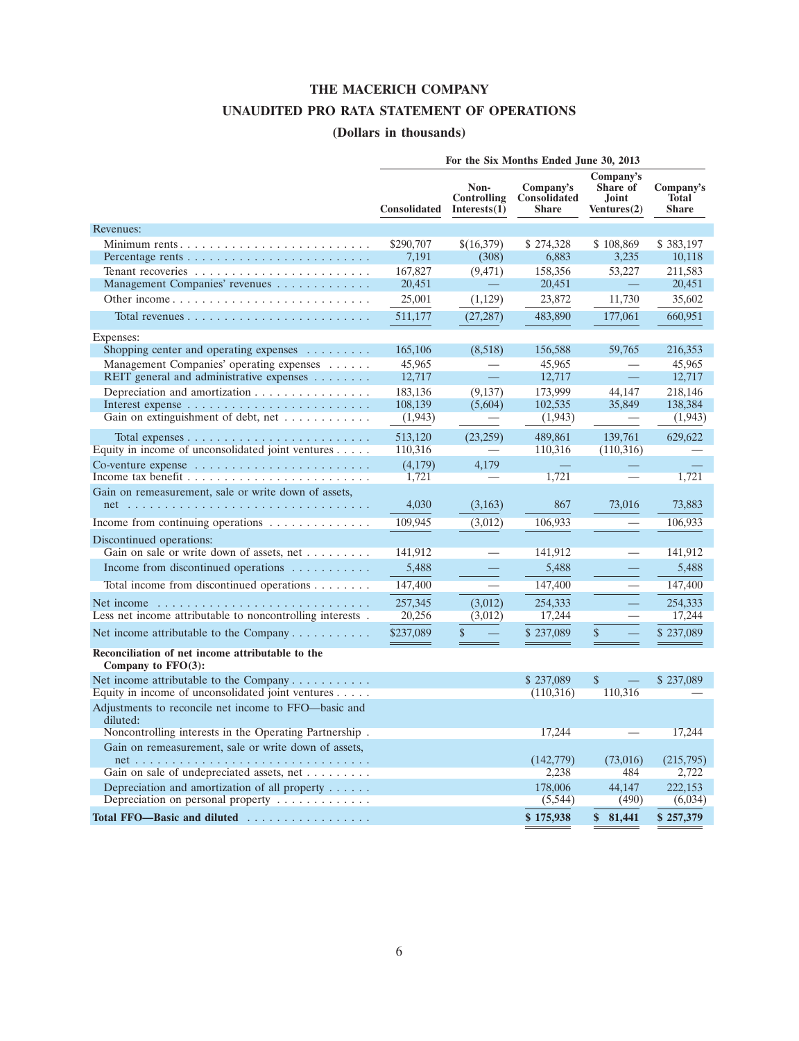## **THE MACERICH COMPANY**

## **UNAUDITED PRO RATA STATEMENT OF OPERATIONS**

# **(Dollars in thousands)**

|                                                                                                                                             | For the Six Months Ended June 30, 2013 |                                            |                                           |                                               |                                           |  |  |  |
|---------------------------------------------------------------------------------------------------------------------------------------------|----------------------------------------|--------------------------------------------|-------------------------------------------|-----------------------------------------------|-------------------------------------------|--|--|--|
|                                                                                                                                             | Consolidated                           | Non-<br><b>Controlling</b><br>Interests(1) | Company's<br>Consolidated<br><b>Share</b> | Company's<br>Share of<br>Joint<br>Ventures(2) | Company's<br><b>Total</b><br><b>Share</b> |  |  |  |
| Revenues:                                                                                                                                   |                                        |                                            |                                           |                                               |                                           |  |  |  |
|                                                                                                                                             | \$290,707                              | \$(16,379)                                 | \$274,328                                 | \$108,869                                     | \$383,197                                 |  |  |  |
|                                                                                                                                             | 7,191                                  | (308)                                      | 6,883                                     | 3,235                                         | 10,118                                    |  |  |  |
|                                                                                                                                             | 167,827                                | (9, 471)                                   | 158,356                                   | 53,227                                        | 211,583                                   |  |  |  |
| Management Companies' revenues                                                                                                              | 20,451                                 |                                            | 20,451                                    |                                               | 20,451                                    |  |  |  |
|                                                                                                                                             | 25,001                                 | (1,129)                                    | 23,872                                    | 11,730                                        | 35,602                                    |  |  |  |
|                                                                                                                                             | 511,177                                | (27, 287)                                  | 483,890                                   | 177,061                                       | 660,951                                   |  |  |  |
| Expenses:                                                                                                                                   |                                        |                                            |                                           |                                               |                                           |  |  |  |
| Shopping center and operating expenses $\dots \dots$                                                                                        | 165,106                                | (8,518)                                    | 156,588                                   | 59,765                                        | 216,353                                   |  |  |  |
| Management Companies' operating expenses                                                                                                    | 45,965                                 |                                            | 45,965                                    |                                               | 45,965                                    |  |  |  |
| REIT general and administrative expenses                                                                                                    | 12,717                                 |                                            | 12,717                                    | 二                                             | 12,717                                    |  |  |  |
| Depreciation and amortization                                                                                                               | 183,136<br>108,139                     | (9, 137)<br>(5,604)                        | 173,999<br>102,535                        | 44.147<br>35,849                              | 218,146<br>138,384                        |  |  |  |
| Gain on extinguishment of debt, net                                                                                                         | (1, 943)                               |                                            | (1,943)                                   |                                               | (1,943)                                   |  |  |  |
|                                                                                                                                             |                                        |                                            |                                           |                                               |                                           |  |  |  |
| Total expenses $\dots \dots \dots \dots \dots \dots \dots \dots \dots \dots$<br>Equity in income of unconsolidated joint ventures $\dots$ . | 513,120<br>110,316                     | (23, 259)                                  | 489,861<br>110,316                        | 139,761<br>(110,316)                          | 629,622                                   |  |  |  |
|                                                                                                                                             | (4,179)                                | 4.179                                      |                                           |                                               |                                           |  |  |  |
|                                                                                                                                             | 1,721                                  | $\overline{\phantom{m}}$                   | 1,721                                     |                                               | 1,721                                     |  |  |  |
| Gain on remeasurement, sale or write down of assets,                                                                                        |                                        |                                            |                                           |                                               |                                           |  |  |  |
|                                                                                                                                             | 4,030                                  | (3,163)                                    | 867                                       | 73,016                                        | 73,883                                    |  |  |  |
| Income from continuing operations                                                                                                           | 109,945                                | (3,012)                                    | 106,933                                   |                                               | 106,933                                   |  |  |  |
| Discontinued operations:                                                                                                                    |                                        |                                            |                                           |                                               |                                           |  |  |  |
| Gain on sale or write down of assets, net                                                                                                   | 141,912                                |                                            | 141,912                                   | $\overline{\phantom{0}}$                      | 141,912                                   |  |  |  |
| Income from discontinued operations $\dots \dots \dots$                                                                                     | 5,488                                  |                                            | 5,488                                     |                                               | 5,488                                     |  |  |  |
| Total income from discontinued operations                                                                                                   | 147,400                                |                                            | 147,400                                   |                                               | 147,400                                   |  |  |  |
| Net income $\dots \dots \dots \dots \dots \dots \dots \dots \dots \dots \dots$                                                              | 257,345                                | (3,012)                                    | 254,333                                   |                                               | 254,333                                   |  |  |  |
| Less net income attributable to noncontrolling interests.                                                                                   | 20,256                                 | (3,012)                                    | 17,244                                    |                                               | 17,244                                    |  |  |  |
| Net income attributable to the Company                                                                                                      | \$237,089                              | \$                                         | \$237,089                                 | \$                                            | \$237,089                                 |  |  |  |
| Reconciliation of net income attributable to the                                                                                            |                                        |                                            |                                           |                                               |                                           |  |  |  |
| Company to $FFO(3)$ :                                                                                                                       |                                        |                                            |                                           |                                               |                                           |  |  |  |
| Net income attributable to the Company                                                                                                      |                                        |                                            | \$237,089                                 | $\mathbf{\hat{S}}$                            | \$237,089                                 |  |  |  |
| Equity in income of unconsolidated joint ventures                                                                                           |                                        |                                            | (110,316)                                 | 110,316                                       |                                           |  |  |  |
| Adjustments to reconcile net income to FFO—basic and<br>diluted:                                                                            |                                        |                                            |                                           |                                               |                                           |  |  |  |
| Noncontrolling interests in the Operating Partnership.                                                                                      |                                        |                                            | 17,244                                    |                                               | 17,244                                    |  |  |  |
| Gain on remeasurement, sale or write down of assets,                                                                                        |                                        |                                            | (142, 779)                                | (73,016)                                      | (215,795)                                 |  |  |  |
| Gain on sale of undepreciated assets, net                                                                                                   |                                        |                                            | 2,238                                     | 484                                           | 2,722                                     |  |  |  |
| Depreciation and amortization of all property $\dots$ .                                                                                     |                                        |                                            | 178,006                                   | 44.147                                        | 222,153                                   |  |  |  |
| Depreciation on personal property $\dots \dots \dots$                                                                                       |                                        |                                            | (5,544)                                   | (490)                                         | (6,034)                                   |  |  |  |
| Total FFO-Basic and diluted                                                                                                                 |                                        |                                            | \$175,938                                 | $\mathbf{s}$<br>81,441                        | \$257,379                                 |  |  |  |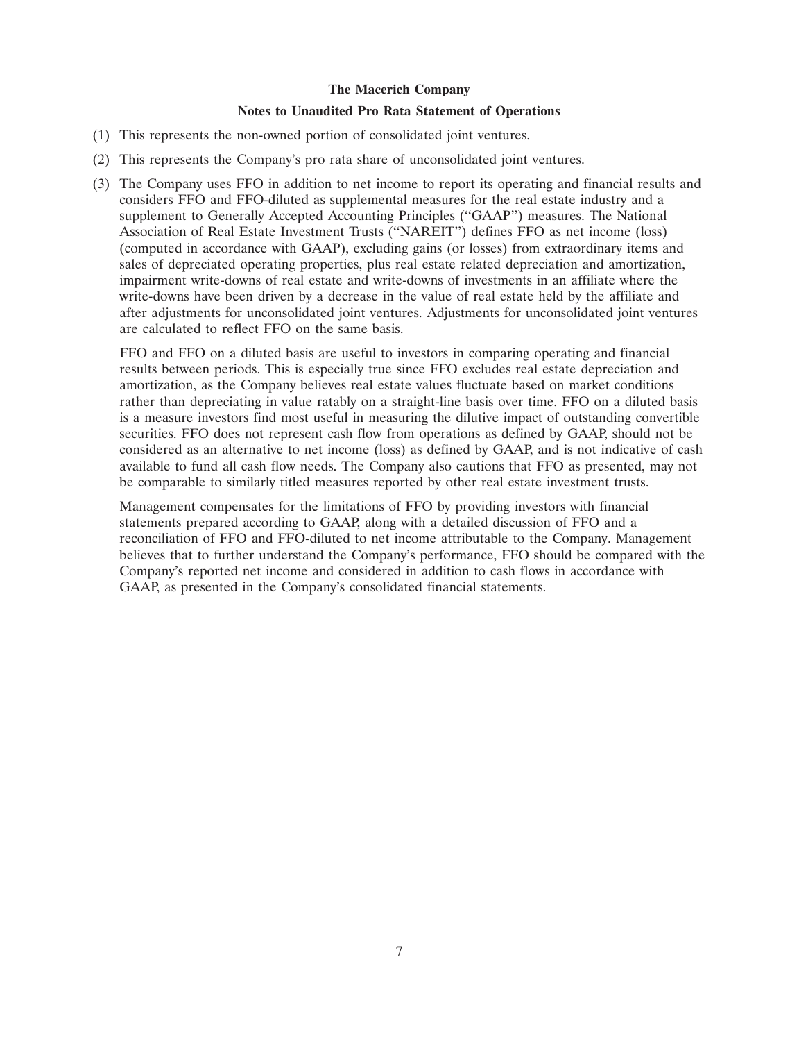#### **Notes to Unaudited Pro Rata Statement of Operations**

- (1) This represents the non-owned portion of consolidated joint ventures.
- (2) This represents the Company's pro rata share of unconsolidated joint ventures.
- (3) The Company uses FFO in addition to net income to report its operating and financial results and considers FFO and FFO-diluted as supplemental measures for the real estate industry and a supplement to Generally Accepted Accounting Principles (''GAAP'') measures. The National Association of Real Estate Investment Trusts (''NAREIT'') defines FFO as net income (loss) (computed in accordance with GAAP), excluding gains (or losses) from extraordinary items and sales of depreciated operating properties, plus real estate related depreciation and amortization, impairment write-downs of real estate and write-downs of investments in an affiliate where the write-downs have been driven by a decrease in the value of real estate held by the affiliate and after adjustments for unconsolidated joint ventures. Adjustments for unconsolidated joint ventures are calculated to reflect FFO on the same basis.

FFO and FFO on a diluted basis are useful to investors in comparing operating and financial results between periods. This is especially true since FFO excludes real estate depreciation and amortization, as the Company believes real estate values fluctuate based on market conditions rather than depreciating in value ratably on a straight-line basis over time. FFO on a diluted basis is a measure investors find most useful in measuring the dilutive impact of outstanding convertible securities. FFO does not represent cash flow from operations as defined by GAAP, should not be considered as an alternative to net income (loss) as defined by GAAP, and is not indicative of cash available to fund all cash flow needs. The Company also cautions that FFO as presented, may not be comparable to similarly titled measures reported by other real estate investment trusts.

Management compensates for the limitations of FFO by providing investors with financial statements prepared according to GAAP, along with a detailed discussion of FFO and a reconciliation of FFO and FFO-diluted to net income attributable to the Company. Management believes that to further understand the Company's performance, FFO should be compared with the Company's reported net income and considered in addition to cash flows in accordance with GAAP, as presented in the Company's consolidated financial statements.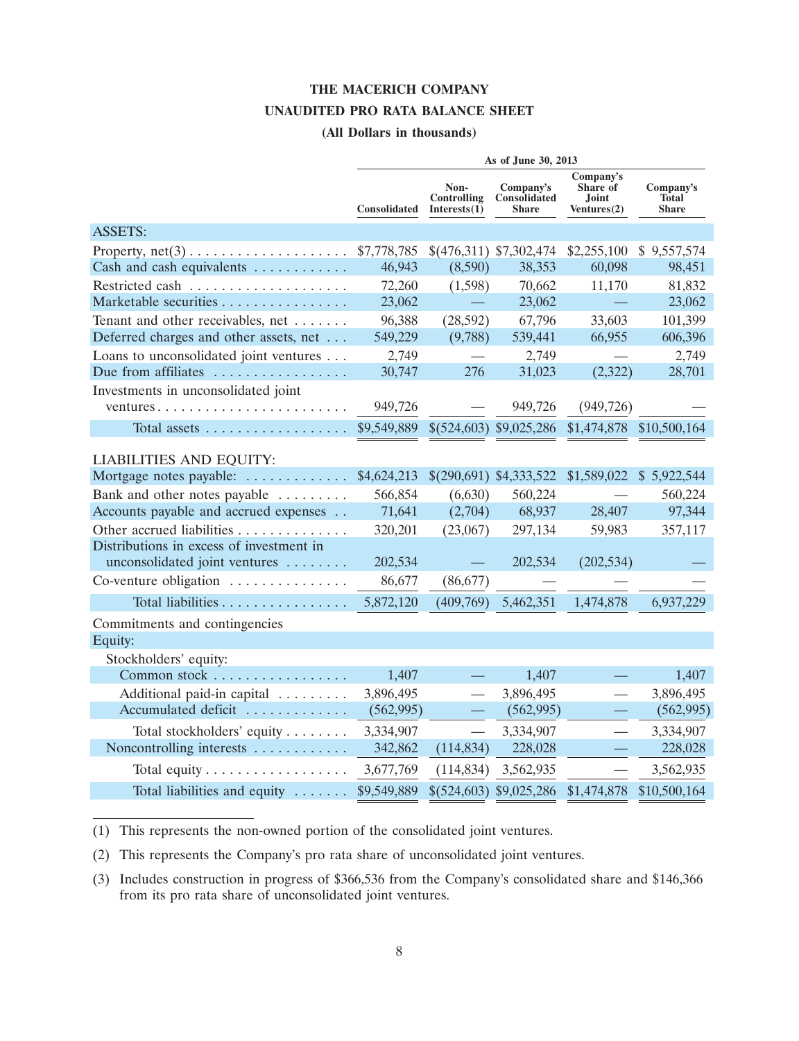## **THE MACERICH COMPANY**

### **UNAUDITED PRO RATA BALANCE SHEET**

### **(All Dollars in thousands)**

|                                                              |              |                                     | As of June 30, 2013                       |                                               |                                           |
|--------------------------------------------------------------|--------------|-------------------------------------|-------------------------------------------|-----------------------------------------------|-------------------------------------------|
|                                                              | Consolidated | Non-<br>Controlling<br>Interests(1) | Company's<br>Consolidated<br><b>Share</b> | Company's<br>Share of<br>Joint<br>Ventures(2) | Company's<br><b>Total</b><br><b>Share</b> |
| <b>ASSETS:</b>                                               |              |                                     |                                           |                                               |                                           |
| Property, $net(3) \ldots \ldots \ldots \ldots \ldots \ldots$ | \$7,778,785  |                                     | $$(476,311)$ \$7,302,474                  | \$2,255,100                                   | \$9,557,574                               |
| Cash and cash equivalents                                    | 46,943       | (8,590)                             | 38,353                                    | 60,098                                        | 98,451                                    |
|                                                              | 72,260       | (1,598)                             | 70,662                                    | 11,170                                        | 81,832                                    |
| Marketable securities                                        | 23,062       |                                     | 23,062                                    |                                               | 23,062                                    |
| Tenant and other receivables, net                            | 96,388       | (28, 592)                           | 67,796                                    | 33,603                                        | 101,399                                   |
| Deferred charges and other assets, net                       | 549,229      | (9,788)                             | 539,441                                   | 66,955                                        | 606,396                                   |
| Loans to unconsolidated joint ventures                       | 2,749        |                                     | 2,749                                     |                                               | 2,749                                     |
| Due from affiliates                                          | 30,747       | 276                                 | 31,023                                    | (2,322)                                       | 28,701                                    |
| Investments in unconsolidated joint                          |              |                                     |                                           |                                               |                                           |
|                                                              | 949,726      |                                     | 949,726                                   | (949, 726)                                    |                                           |
| Total assets                                                 | \$9,549,889  |                                     | \$(524,603) \$9,025,286                   | \$1,474,878                                   | \$10,500,164                              |
| <b>LIABILITIES AND EQUITY:</b>                               |              |                                     |                                           |                                               |                                           |
| Mortgage notes payable:                                      | \$4,624,213  |                                     | \$(290,691) \$4,333,522                   | \$1,589,022                                   | \$5,922,544                               |
| Bank and other notes payable                                 | 566,854      | (6,630)                             | 560,224                                   |                                               | 560,224                                   |
| Accounts payable and accrued expenses                        | 71,641       | (2,704)                             | 68,937                                    | 28,407                                        | 97,344                                    |
| Other accrued liabilities                                    | 320,201      | (23,067)                            | 297,134                                   | 59,983                                        | 357,117                                   |
| Distributions in excess of investment in                     |              |                                     |                                           |                                               |                                           |
| unconsolidated joint ventures                                | 202,534      |                                     | 202,534                                   | (202, 534)                                    |                                           |
| Co-venture obligation $\dots\dots\dots\dots\dots$            | 86,677       | (86,677)                            |                                           |                                               |                                           |
| Total liabilities                                            | 5,872,120    | (409,769)                           | 5,462,351                                 | 1,474,878                                     | 6,937,229                                 |
| Commitments and contingencies                                |              |                                     |                                           |                                               |                                           |
| Equity:                                                      |              |                                     |                                           |                                               |                                           |
| Stockholders' equity:                                        |              |                                     |                                           |                                               |                                           |
| Common stock                                                 | 1,407        |                                     | 1,407                                     |                                               | 1,407                                     |
| Additional paid-in capital                                   | 3,896,495    |                                     | 3,896,495                                 | $\qquad \qquad$                               | 3,896,495                                 |
| Accumulated deficit                                          | (562, 995)   |                                     | (562, 995)                                |                                               | (562, 995)                                |
| Total stockholders' equity                                   | 3,334,907    | $\overline{\phantom{0}}$            | 3,334,907                                 |                                               | 3,334,907                                 |
| Noncontrolling interests                                     | 342,862      | (114, 834)                          | 228,028                                   |                                               | 228,028                                   |
| Total equity $\dots \dots \dots \dots \dots \dots$           | 3,677,769    | (114, 834)                          | 3,562,935                                 |                                               | 3,562,935                                 |
| Total liabilities and equity                                 | \$9,549,889  |                                     | \$(524,603) \$9,025,286                   | \$1,474,878                                   | \$10,500,164                              |

(1) This represents the non-owned portion of the consolidated joint ventures.

(2) This represents the Company's pro rata share of unconsolidated joint ventures.

(3) Includes construction in progress of \$366,536 from the Company's consolidated share and \$146,366 from its pro rata share of unconsolidated joint ventures.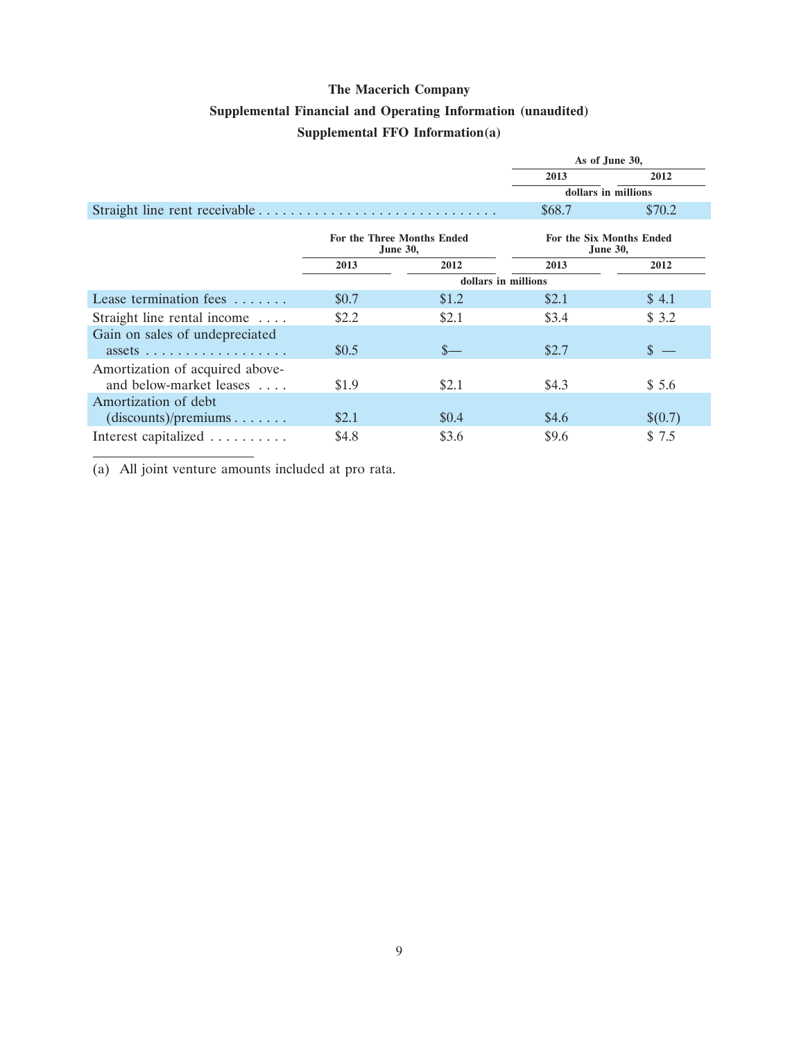# **Supplemental Financial and Operating Information (unaudited)**

# **Supplemental FFO Information(a)**

|                                                                               | As of June 30,                              |                     |        |                     |  |
|-------------------------------------------------------------------------------|---------------------------------------------|---------------------|--------|---------------------|--|
|                                                                               |                                             |                     | 2013   | 2012                |  |
|                                                                               |                                             |                     |        | dollars in millions |  |
|                                                                               |                                             |                     | \$68.7 | \$70.2\$            |  |
|                                                                               | For the Six Months Ended<br><b>June 30,</b> |                     |        |                     |  |
|                                                                               | 2013                                        | 2012                | 2013   | 2012                |  |
|                                                                               |                                             | dollars in millions |        |                     |  |
| Lease termination fees $\dots\dots$                                           | \$0.7                                       | \$1.2               | \$2.1  | \$4.1               |  |
| Straight line rental income                                                   | \$2.2                                       | \$2.1               | \$3.4  | \$3.2               |  |
| Gain on sales of undepreciated<br>$assets \ldots \ldots \ldots \ldots \ldots$ | \$0.5                                       | $S-$                | \$2.7  | \$                  |  |
| Amortization of acquired above-<br>and below-market leases                    | \$1.9                                       | \$2.1               | \$4.3  | \$5.6               |  |
| Amortization of debt<br>(discounts)/preminus                                  | \$2.1                                       | \$0.4\$             | \$4.6  | \$(0.7)             |  |
| Interest capitalized                                                          | \$4.8                                       | \$3.6               | \$9.6  | \$7.5               |  |

(a) All joint venture amounts included at pro rata.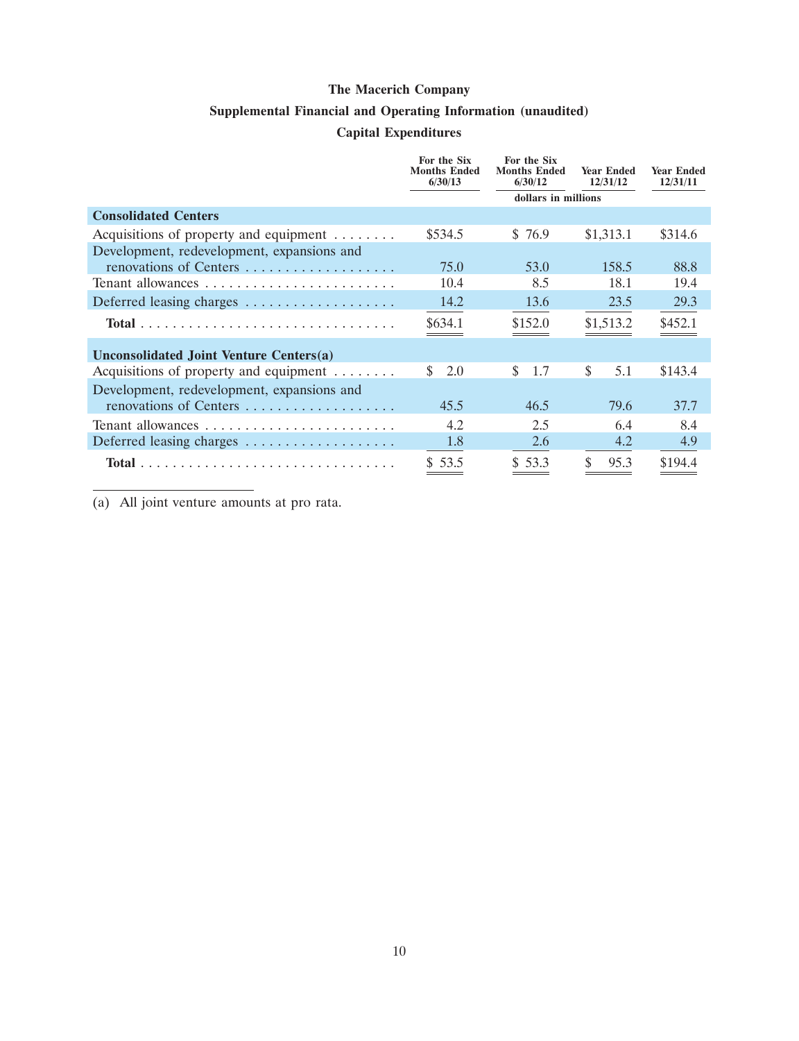## **Supplemental Financial and Operating Information (unaudited)**

# **Capital Expenditures**

|                                                     | For the Six<br><b>Months Ended</b><br>6/30/13 | For the Six<br><b>Months Ended</b><br>6/30/12 | <b>Year Ended</b><br>12/31/12 | <b>Year Ended</b><br>12/31/11 |
|-----------------------------------------------------|-----------------------------------------------|-----------------------------------------------|-------------------------------|-------------------------------|
|                                                     |                                               | dollars in millions                           |                               |                               |
| <b>Consolidated Centers</b>                         |                                               |                                               |                               |                               |
| Acquisitions of property and equipment              | \$534.5                                       | \$76.9                                        | \$1,313.1                     | \$314.6                       |
| Development, redevelopment, expansions and          |                                               |                                               |                               |                               |
| renovations of Centers                              | 75.0                                          | 53.0                                          | 158.5                         | 88.8                          |
|                                                     | 10.4                                          | 8.5                                           | 18.1                          | 19.4                          |
| Deferred leasing charges                            | 14.2                                          | 13.6                                          | 23.5                          | 29.3                          |
|                                                     | \$634.1                                       | \$152.0                                       | \$1,513.2                     | \$452.1                       |
| Unconsolidated Joint Venture Centers(a)             |                                               |                                               |                               |                               |
| Acquisitions of property and equipment $\dots\dots$ | 2.0<br>S.                                     | \$<br>1.7                                     | \$<br>5.1                     | \$143.4                       |
| Development, redevelopment, expansions and          |                                               |                                               |                               |                               |
| renovations of Centers                              | 45.5                                          | 46.5                                          | 79.6                          | 37.7                          |
|                                                     | 4.2                                           | 2.5                                           | 6.4                           | 8.4                           |
| Deferred leasing charges                            | 1.8                                           | 2.6                                           | 4.2                           | 4.9                           |
|                                                     | \$53.5                                        | \$53.3                                        | \$<br>95.3                    | \$194.4                       |

(a) All joint venture amounts at pro rata.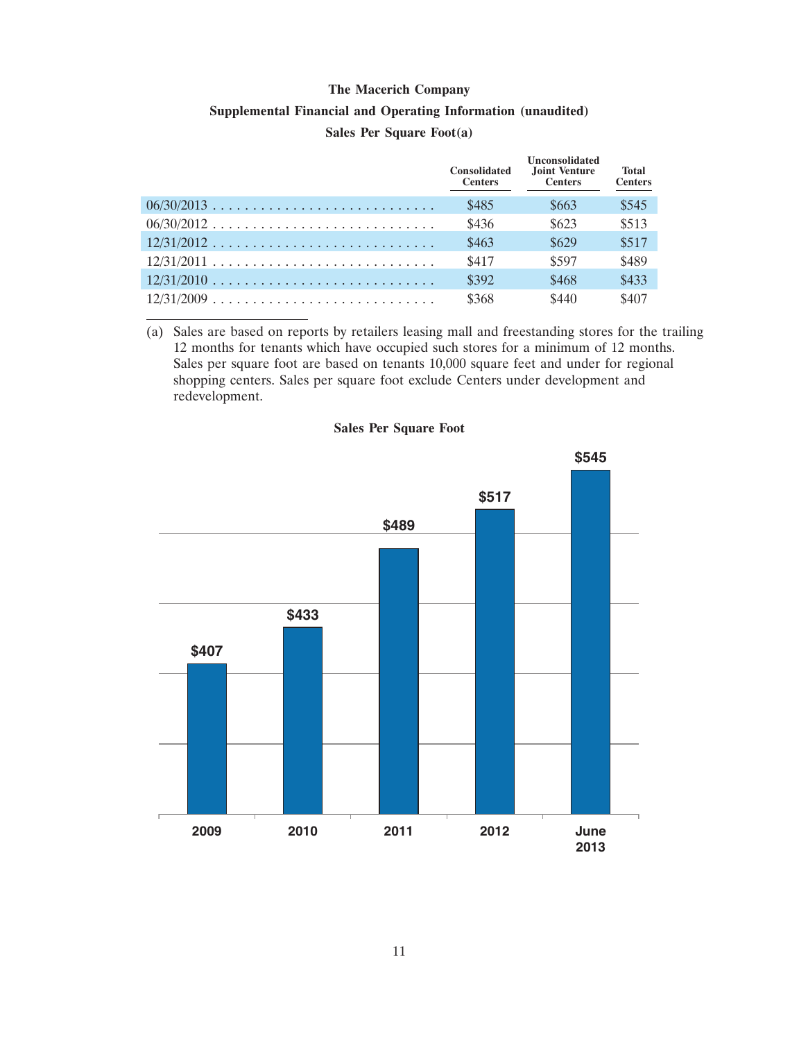## **Supplemental Financial and Operating Information (unaudited) Sales Per Square Foot(a)**

|              | <b>Consolidated</b><br><b>Centers</b> | <b>Unconsolidated</b><br>Joint Venture<br><b>Centers</b> | <b>Total</b><br><b>Centers</b> |
|--------------|---------------------------------------|----------------------------------------------------------|--------------------------------|
|              | \$485                                 | \$663                                                    | \$545                          |
| $06/30/2012$ | \$436                                 | \$623                                                    | \$513                          |
| $12/31/2012$ | \$463                                 | \$629                                                    | \$517                          |
|              | \$417                                 | \$597                                                    | \$489                          |
|              | \$392                                 | \$468                                                    | \$433                          |
|              | \$368                                 | \$440                                                    | \$407                          |

(a) Sales are based on reports by retailers leasing mall and freestanding stores for the trailing 12 months for tenants which have occupied such stores for a minimum of 12 months. Sales per square foot are based on tenants 10,000 square feet and under for regional shopping centers. Sales per square foot exclude Centers under development and redevelopment.

### **Sales Per Square Foot**

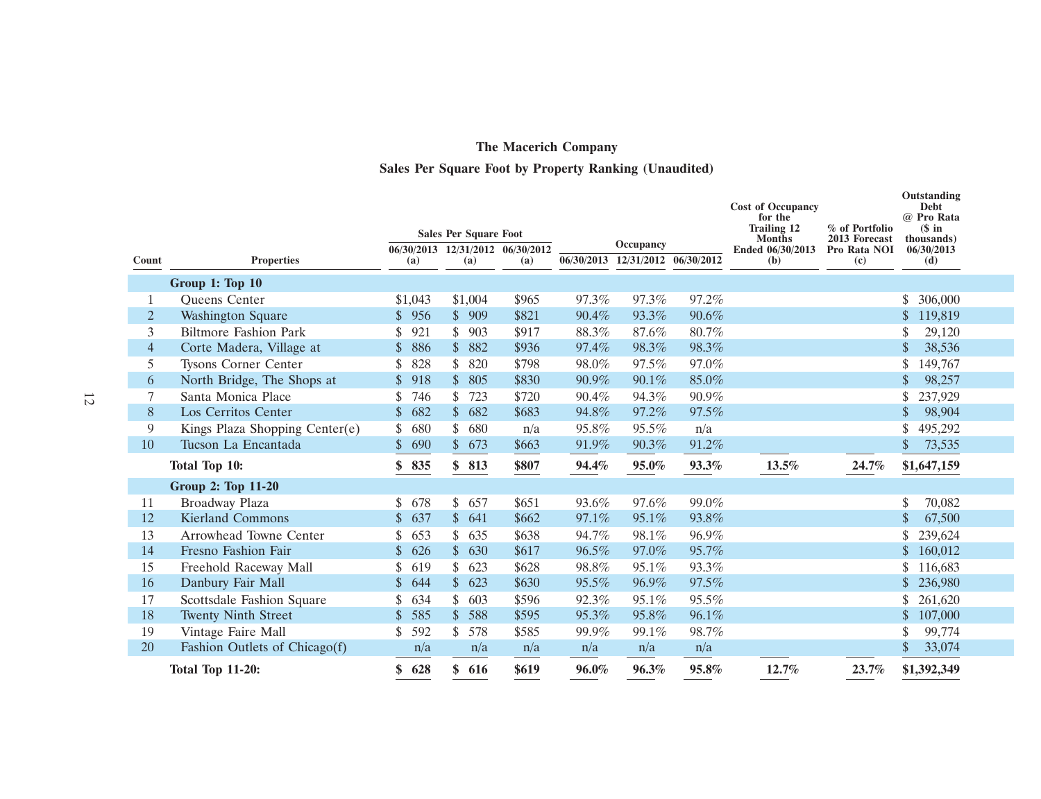# **The Macerich Company Sales Per Square Foot by Property Ranking (Unaudited)**

|                |                                |                     |     | <b>Sales Per Square Foot</b> |                                  |       |                                  |          | <b>Cost of Occupancy</b><br>for the<br><b>Trailing 12</b> | % of Portfolio                | Outstanding<br>Debt<br>@ Pro Rata<br>$$$ in |
|----------------|--------------------------------|---------------------|-----|------------------------------|----------------------------------|-------|----------------------------------|----------|-----------------------------------------------------------|-------------------------------|---------------------------------------------|
|                |                                |                     |     |                              | 06/30/2013 12/31/2012 06/30/2012 |       | Occupancy                        |          | <b>Months</b><br>Ended 06/30/2013                         | 2013 Forecast<br>Pro Rata NOI | thousands)<br>06/30/2013                    |
| Count          | <b>Properties</b>              | (a)                 |     | (a)                          | (a)                              |       | 06/30/2013 12/31/2012 06/30/2012 |          | (b)                                                       | (c)                           | (d)                                         |
|                | Group 1: Top 10                |                     |     |                              |                                  |       |                                  |          |                                                           |                               |                                             |
| -1             | Queens Center                  | \$1,043             |     | \$1,004                      | \$965                            | 97.3% | 97.3%                            | 97.2%    |                                                           |                               | \$<br>306,000                               |
| 2              | <b>Washington Square</b>       | \$956               |     | \$909                        | \$821                            | 90.4% | 93.3%                            | 90.6%    |                                                           |                               | $\mathcal{S}$<br>119,819                    |
| 3              | <b>Biltmore Fashion Park</b>   | 921<br>\$           |     | \$<br>903                    | \$917                            | 88.3% | 87.6%                            | 80.7%    |                                                           |                               | 29,120                                      |
| $\overline{4}$ | Corte Madera, Village at       | 886<br>$\mathbb{S}$ |     | $\mathbb{S}$<br>882          | \$936                            | 97.4% | 98.3%                            | 98.3%    |                                                           |                               | 38,536                                      |
| 5              | <b>Tysons Corner Center</b>    | 828<br>S            |     | \$<br>820                    | \$798                            | 98.0% | 97.5%                            | 97.0%    |                                                           |                               | 149,767                                     |
| 6              | North Bridge, The Shops at     | 918<br>$\mathbb{S}$ |     | \$<br>805                    | \$830                            | 90.9% | 90.1%                            | 85.0%    |                                                           |                               | 98,257                                      |
|                | Santa Monica Place             | 746<br>S            |     | \$<br>723                    | \$720                            | 90.4% | 94.3%                            | 90.9%    |                                                           |                               | 237,929                                     |
| 8              | Los Cerritos Center            | 682<br>$\mathbb{S}$ |     | \$<br>682                    | \$683                            | 94.8% | 97.2%                            | 97.5%    |                                                           |                               | 98,904                                      |
| 9              | Kings Plaza Shopping Center(e) | 680                 |     | \$<br>680                    | n/a                              | 95.8% | 95.5%                            | n/a      |                                                           |                               | 495,292                                     |
| 10             | Tucson La Encantada            | $\mathbb{S}$<br>690 |     | \$<br>673                    | \$663                            | 91.9% | 90.3%                            | 91.2%    |                                                           |                               | 73,535                                      |
|                | Total Top 10:                  | 835<br>\$           |     | \$<br>813                    | \$807                            | 94.4% | 95.0%                            | 93.3%    | 13.5%                                                     | 24.7%                         | \$1,647,159                                 |
|                | <b>Group 2: Top 11-20</b>      |                     |     |                              |                                  |       |                                  |          |                                                           |                               |                                             |
| 11             | Broadway Plaza                 | S<br>678            |     | \$<br>657                    | \$651                            | 93.6% | 97.6%                            | 99.0%    |                                                           |                               | \$<br>70,082                                |
| 12             | <b>Kierland Commons</b>        | \$<br>637           |     | $\mathcal{S}$<br>641         | \$662                            | 97.1% | 95.1%                            | 93.8%    |                                                           |                               | 67,500                                      |
| 13             | Arrowhead Towne Center         | 653                 |     | \$<br>635                    | \$638                            | 94.7% | 98.1%                            | 96.9%    |                                                           |                               | 239,624                                     |
| 14             | Fresno Fashion Fair            | $\mathbb{S}$<br>626 |     | \$<br>630                    | \$617                            | 96.5% | 97.0%                            | 95.7%    |                                                           |                               | 160,012                                     |
| 15             | Freehold Raceway Mall          | \$<br>619           |     | \$<br>623                    | \$628                            | 98.8% | 95.1%                            | 93.3%    |                                                           |                               | 116,683                                     |
| 16             | Danbury Fair Mall              | $\mathbb{S}$<br>644 |     | \$<br>623                    | \$630                            | 95.5% | 96.9%                            | 97.5%    |                                                           |                               | 236,980                                     |
| 17             | Scottsdale Fashion Square      | 634<br>\$           |     | \$<br>603                    | \$596                            | 92.3% | 95.1%                            | $95.5\%$ |                                                           |                               | 261,620                                     |
| 18             | <b>Twenty Ninth Street</b>     | 585<br>$\mathbb{S}$ |     | \$<br>588                    | \$595                            | 95.3% | 95.8%                            | 96.1%    |                                                           |                               | 107,000                                     |
| 19             | Vintage Faire Mall             | 592<br>\$           |     | \$<br>578                    | \$585                            | 99.9% | 99.1%                            | 98.7%    |                                                           |                               | 99,774                                      |
| 20             | Fashion Outlets of Chicago(f)  |                     | n/a | n/a                          | n/a                              | n/a   | n/a                              | n/a      |                                                           |                               | $\mathcal{S}$<br>33,074                     |
|                | <b>Total Top 11-20:</b>        | 628<br>\$           |     | \$616                        | \$619                            | 96.0% | 96.3%                            | 95.8%    | 12.7%                                                     | 23.7%                         | \$1,392,349                                 |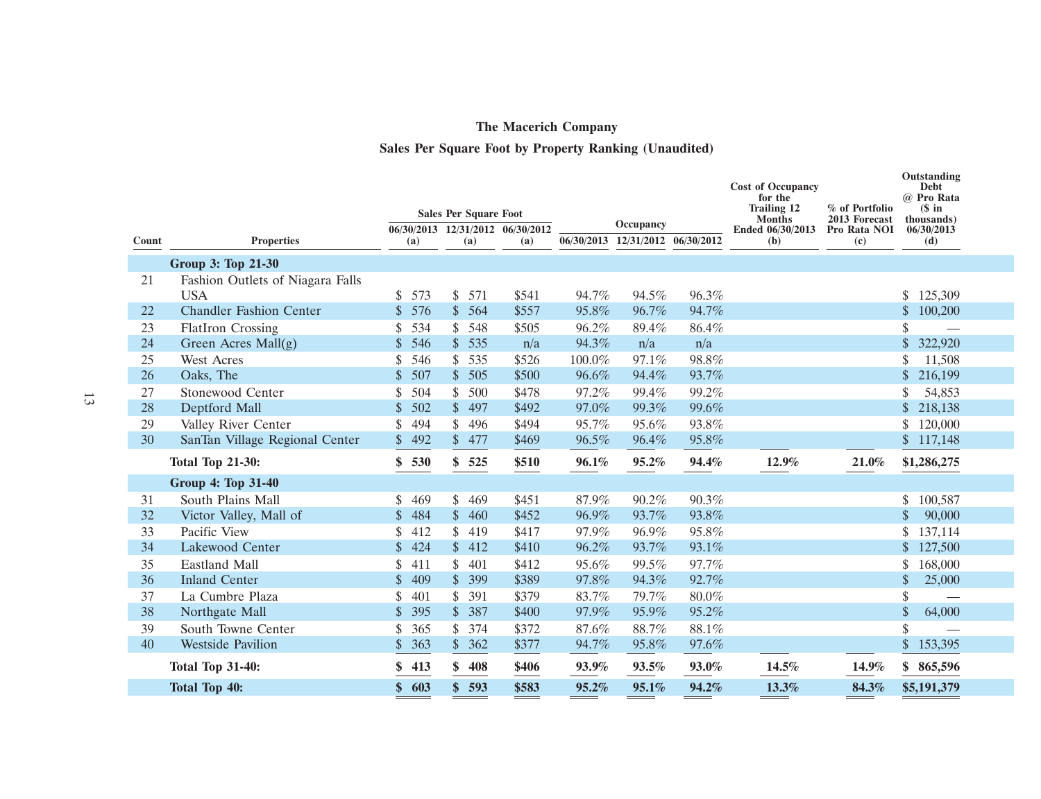# **Sales Per Square Foot by Property Ranking (Unaudited)**

|       |                                  |                     |                                                                  |       |        |                                  |           | <b>Cost of Occupancy</b><br>for the<br><b>Trailing 12</b> | % of Portfolio                    | Outstanding<br>Debt<br>@ Pro Rata<br>$$$ in |                               |                           |
|-------|----------------------------------|---------------------|------------------------------------------------------------------|-------|--------|----------------------------------|-----------|-----------------------------------------------------------|-----------------------------------|---------------------------------------------|-------------------------------|---------------------------|
|       |                                  |                     | <b>Sales Per Square Foot</b><br>06/30/2013 12/31/2012 06/30/2012 |       |        |                                  | Occupancy |                                                           | <b>Months</b><br>Ended 06/30/2013 |                                             | 2013 Forecast<br>Pro Rata NOI | (thousands)<br>06/30/2013 |
| Count | <b>Properties</b>                | (a)                 | (a)                                                              | (a)   |        | 06/30/2013 12/31/2012 06/30/2012 |           | (b)                                                       | (c)                               | (d)                                         |                               |                           |
|       | Group 3: Top 21-30               |                     |                                                                  |       |        |                                  |           |                                                           |                                   |                                             |                               |                           |
| 21    | Fashion Outlets of Niagara Falls |                     |                                                                  |       |        |                                  |           |                                                           |                                   |                                             |                               |                           |
|       | <b>USA</b>                       | \$573               | \$<br>571                                                        | \$541 | 94.7%  | 94.5%                            | 96.3%     |                                                           |                                   | \$<br>125,309                               |                               |                           |
| 22    | <b>Chandler Fashion Center</b>   | \$576               | \$564                                                            | \$557 | 95.8%  | 96.7%                            | 94.7%     |                                                           |                                   | \$<br>100,200                               |                               |                           |
| 23    | <b>FlatIron Crossing</b>         | 534<br>\$           | \$<br>548                                                        | \$505 | 96.2%  | 89.4%                            | 86.4%     |                                                           |                                   | \$                                          |                               |                           |
| 24    | Green Acres Mall(g)              | 546<br>\$           | \$535                                                            | n/a   | 94.3%  | n/a                              | n/a       |                                                           |                                   | \$<br>322,920                               |                               |                           |
| 25    | <b>West Acres</b>                | 546<br>\$           | \$<br>535                                                        | \$526 | 100.0% | 97.1%                            | 98.8%     |                                                           |                                   | \$.<br>11,508                               |                               |                           |
| 26    | Oaks, The                        | 507<br>$\mathbb{S}$ | \$<br>505                                                        | \$500 | 96.6%  | 94.4%                            | 93.7%     |                                                           |                                   | \$<br>216,199                               |                               |                           |
| 27    | Stonewood Center                 | 504<br>\$           | 500<br>\$                                                        | \$478 | 97.2%  | 99.4%                            | 99.2%     |                                                           |                                   | 54,853                                      |                               |                           |
| 28    | Deptford Mall                    | $\mathbb{S}$<br>502 | 497<br>$\mathbb{S}$                                              | \$492 | 97.0%  | 99.3%                            | 99.6%     |                                                           |                                   | $\mathcal{S}$<br>218,138                    |                               |                           |
| 29    | Valley River Center              | \$<br>494           | \$<br>496                                                        | \$494 | 95.7%  | 95.6%                            | 93.8%     |                                                           |                                   | 120,000                                     |                               |                           |
| 30    | SanTan Village Regional Center   | \$492               | \$477                                                            | \$469 | 96.5%  | 96.4%                            | 95.8%     |                                                           |                                   | $\mathbb{S}$<br>117,148                     |                               |                           |
|       | <b>Total Top 21-30:</b>          | \$<br>530           | \$<br>525                                                        | \$510 | 96.1%  | 95.2%                            | 94.4%     | 12.9%                                                     | 21.0%                             | \$1,286,275                                 |                               |                           |
|       | Group 4: Top 31-40               |                     |                                                                  |       |        |                                  |           |                                                           |                                   |                                             |                               |                           |
| 31    | South Plains Mall                | \$<br>469           | \$<br>469                                                        | \$451 | 87.9%  | 90.2%                            | 90.3%     |                                                           |                                   | \$<br>100,587                               |                               |                           |
| 32    | Victor Valley, Mall of           | $\mathbb{S}$<br>484 | \$<br>460                                                        | \$452 | 96.9%  | 93.7%                            | 93.8%     |                                                           |                                   | $\mathbf{\hat{S}}$<br>90,000                |                               |                           |
| 33    | Pacific View                     | 412<br>\$           | \$<br>419                                                        | \$417 | 97.9%  | 96.9%                            | 95.8%     |                                                           |                                   | \$<br>137,114                               |                               |                           |
| 34    | Lakewood Center                  | 424<br>$\mathbb{S}$ | \$<br>412                                                        | \$410 | 96.2%  | 93.7%                            | 93.1%     |                                                           |                                   | $\mathbb{S}$<br>127,500                     |                               |                           |
| 35    | Eastland Mall                    | \$<br>411           | \$<br>401                                                        | \$412 | 95.6%  | 99.5%                            | 97.7%     |                                                           |                                   | \$<br>168,000                               |                               |                           |
| 36    | <b>Inland Center</b>             | $\mathbb{S}$<br>409 | $\mathsf{\$}$<br>399                                             | \$389 | 97.8%  | 94.3%                            | 92.7%     |                                                           |                                   | \$<br>25,000                                |                               |                           |
| 37    | La Cumbre Plaza                  | 401<br>\$           | \$<br>391                                                        | \$379 | 83.7%  | 79.7%                            | $80.0\%$  |                                                           |                                   | \$                                          |                               |                           |
| 38    | Northgate Mall                   | 395<br>$\mathbb{S}$ | $\mathbb{S}$<br>387                                              | \$400 | 97.9%  | 95.9%                            | 95.2%     |                                                           |                                   | \$<br>64,000                                |                               |                           |
| 39    | South Towne Center               | 365<br>\$           | \$<br>374                                                        | \$372 | 87.6%  | 88.7%                            | 88.1%     |                                                           |                                   | \$                                          |                               |                           |
| 40    | <b>Westside Pavilion</b>         | 363<br>$\mathbb{S}$ | \$<br>362                                                        | \$377 | 94.7%  | 95.8%                            | 97.6%     |                                                           |                                   | \$<br>153,395                               |                               |                           |
|       | <b>Total Top 31-40:</b>          | 413                 | \$<br>408                                                        | \$406 | 93.9%  | 93.5%                            | 93.0%     | 14.5%                                                     | 14.9%                             | \$865,596                                   |                               |                           |
|       | <b>Total Top 40:</b>             | 603<br>\$           | \$<br>593                                                        | \$583 | 95.2%  | 95.1%                            | 94.2%     | 13.3%                                                     | 84.3%                             | \$5,191,379                                 |                               |                           |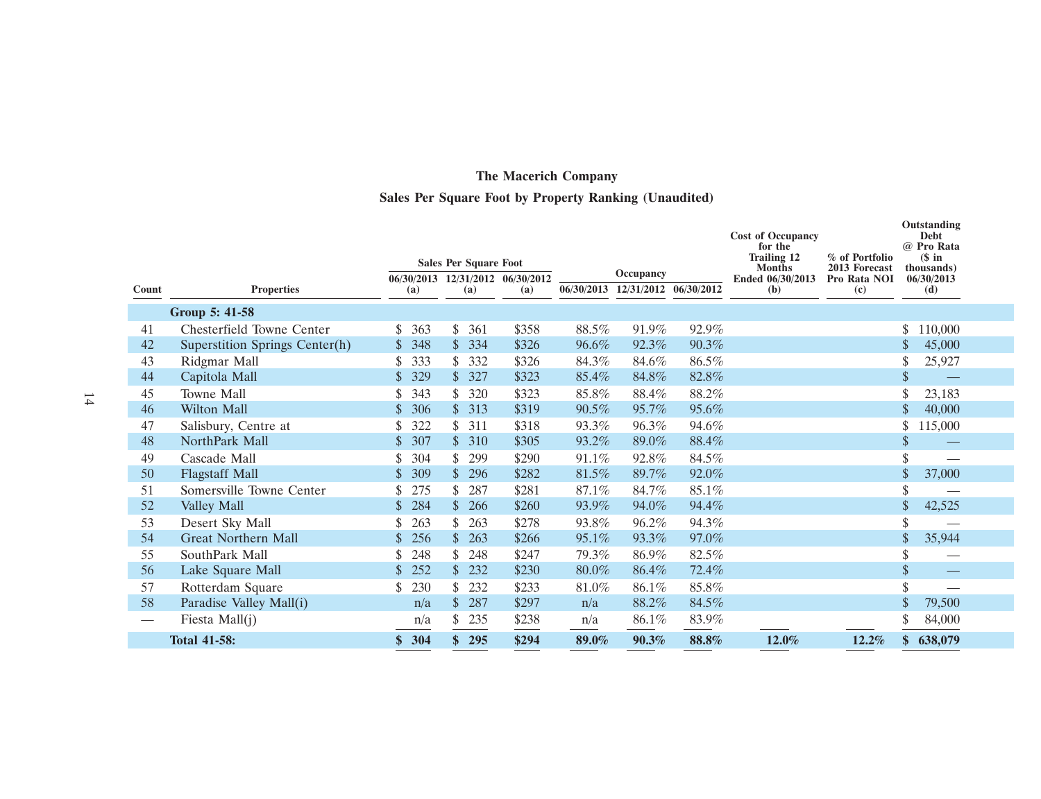# **Sales Per Square Foot by Property Ranking (Unaudited)**

|          |                                |                                    | <b>Sales Per Square Foot</b>            |                |                |                                               |                | <b>Cost of Occupancy</b><br>for the<br><b>Trailing 12</b><br><b>Months</b> | % of Portfolio<br>2013 Forecast | Outstanding<br><b>Debt</b><br>@ Pro Rata<br>$$$ in<br>thousands) |
|----------|--------------------------------|------------------------------------|-----------------------------------------|----------------|----------------|-----------------------------------------------|----------------|----------------------------------------------------------------------------|---------------------------------|------------------------------------------------------------------|
| Count    | <b>Properties</b>              | (a)                                | 06/30/2013 12/31/2012 06/30/2012<br>(a) | (a)            |                | Occupancy<br>06/30/2013 12/31/2012 06/30/2012 |                | Ended 06/30/2013<br>(b)                                                    | Pro Rata NOI<br>(c)             | 06/30/2013<br>(d)                                                |
|          |                                |                                    |                                         |                |                |                                               |                |                                                                            |                                 |                                                                  |
|          | Group 5: 41-58                 |                                    |                                         |                |                |                                               |                |                                                                            |                                 |                                                                  |
| 41       | Chesterfield Towne Center      | 363<br>\$<br>348<br>$\mathbb{S}^-$ | \$<br>361<br>$\mathbb{S}$               | \$358          | 88.5%          | 91.9%                                         | 92.9%<br>90.3% |                                                                            |                                 | 110,000                                                          |
| 42       | Superstition Springs Center(h) | \$                                 | 334<br>\$<br>332                        | \$326          | 96.6%          | 92.3%<br>84.6%                                |                |                                                                            |                                 | 45,000<br>\$                                                     |
| 43<br>44 | Ridgmar Mall<br>Capitola Mall  | 333<br>329                         | 327<br>$\mathbb{S}$                     | \$326<br>\$323 | 84.3%<br>85.4% | 84.8%                                         | 86.5%<br>82.8% |                                                                            |                                 | 25,927<br>\$                                                     |
| 45       | Towne Mall                     | 343                                | 320<br>\$                               | \$323          | 85.8%          | 88.4%                                         | 88.2%          |                                                                            |                                 |                                                                  |
| 46       | <b>Wilton Mall</b>             | 306                                | $\mathbb{S}$<br>313                     | \$319          | 90.5%          | 95.7%                                         | 95.6%          |                                                                            |                                 | 23,183<br>40,000                                                 |
| 47       | Salisbury, Centre at           | 322                                | \$<br>311                               | \$318          | 93.3%          | 96.3%                                         | 94.6%          |                                                                            |                                 | \$<br>115,000                                                    |
| 48       | NorthPark Mall                 | 307<br>\$                          | $\mathbb{S}^-$<br>310                   | \$305          | 93.2%          | 89.0%                                         | 88.4%          |                                                                            |                                 | \$                                                               |
| 49       | Cascade Mall                   | 304                                | \$<br>299                               | \$290          | 91.1%          | 92.8%                                         | 84.5%          |                                                                            |                                 |                                                                  |
| 50       | <b>Flagstaff Mall</b>          | 309                                | 296<br>$\mathbb{S}$                     | \$282          | 81.5%          | 89.7%                                         | 92.0%          |                                                                            |                                 | \$<br>37,000                                                     |
| 51       | Somersville Towne Center       | 275                                | 287<br>\$                               | \$281          | 87.1%          | 84.7%                                         | 85.1%          |                                                                            |                                 | \$                                                               |
| 52       | Valley Mall                    | 284                                | $\mathbb{S}$<br>266                     | \$260          | 93.9%          | 94.0%                                         | 94.4%          |                                                                            |                                 | \$<br>42,525                                                     |
| 53       | Desert Sky Mall                | 263<br>\$                          | \$<br>263                               | \$278          | 93.8%          | 96.2%                                         | 94.3%          |                                                                            |                                 | \$                                                               |
| 54       | <b>Great Northern Mall</b>     | 256                                | \$<br>263                               | \$266          | 95.1%          | 93.3%                                         | 97.0%          |                                                                            |                                 | \$<br>35,944                                                     |
| 55       | SouthPark Mall                 | 248                                | \$<br>248                               | \$247          | 79.3%          | 86.9%                                         | 82.5%          |                                                                            |                                 | \$                                                               |
| 56       | Lake Square Mall               | 252                                | 232<br>\$.                              | \$230          | 80.0%          | 86.4%                                         | 72.4%          |                                                                            |                                 | $\sqrt[6]{\frac{1}{2}}$                                          |
| 57       | Rotterdam Square               | 230<br>\$                          | \$<br>232                               | \$233          | $81.0\%$       | 86.1%                                         | 85.8%          |                                                                            |                                 | \$                                                               |
| 58       | Paradise Valley Mall(i)        | n/a                                | $\mathcal{S}$<br>287                    | \$297          | n/a            | 88.2%                                         | 84.5%          |                                                                            |                                 | \$<br>79,500                                                     |
|          | Fiesta Mall $(i)$              | n/a                                | \$<br>235                               | \$238          | n/a            | 86.1%                                         | 83.9%          |                                                                            |                                 | 84,000                                                           |
|          | <b>Total 41-58:</b>            | 304                                | \$<br>295                               | \$294          | 89.0%          | 90.3%                                         | 88.8%          | 12.0%                                                                      | 12.2%                           | 638,079                                                          |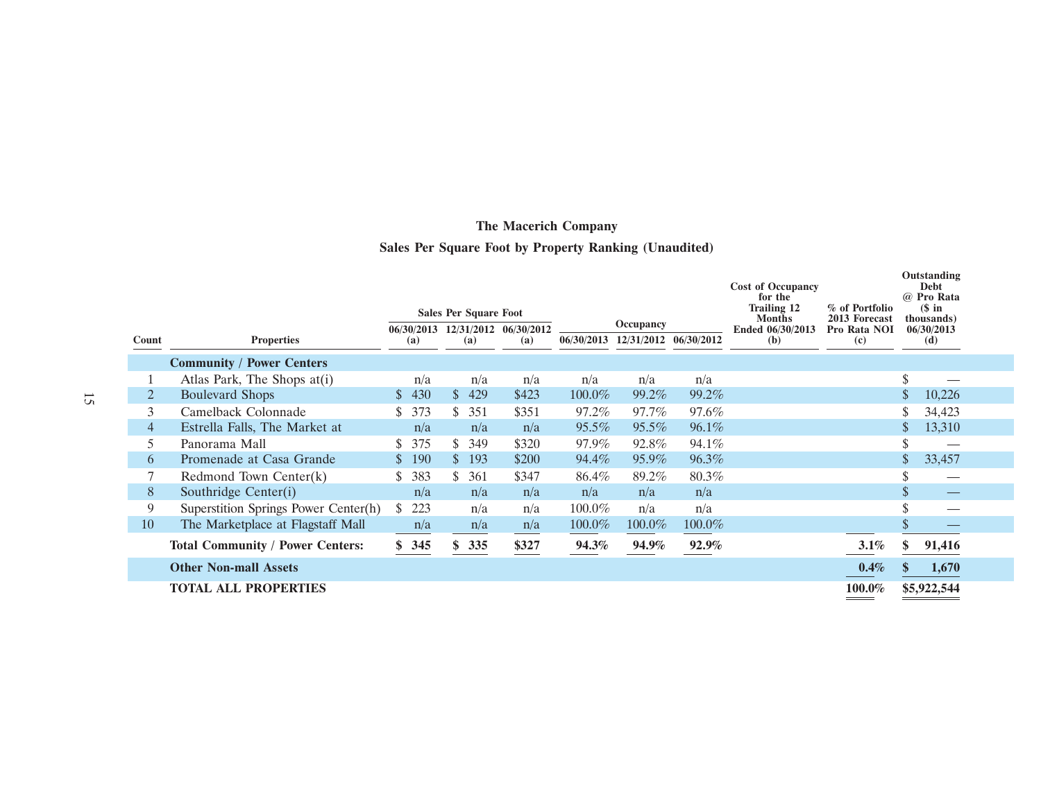# **Sales Per Square Foot by Property Ranking (Unaudited)**

|                |                                         |    |            |               | <b>Sales Per Square Foot</b> |                                         |              | Occupancy             |        | <b>Cost of Occupancy</b><br>for the<br><b>Trailing 12</b><br><b>Months</b> | % of Portfolio<br>2013 Forecast |                    | Outstanding<br><b>Debt</b><br>@ Pro Rata<br>$$$ in<br>(thousands) |  |
|----------------|-----------------------------------------|----|------------|---------------|------------------------------|-----------------------------------------|--------------|-----------------------|--------|----------------------------------------------------------------------------|---------------------------------|--------------------|-------------------------------------------------------------------|--|
| Count          | <b>Properties</b>                       |    | (a)        |               | (a)                          | 06/30/2013 12/31/2012 06/30/2012<br>(a) | 06/30/2013   | 12/31/2012 06/30/2012 |        | Ended 06/30/2013<br>(b)                                                    | Pro Rata NOI<br>(c)             |                    | 06/30/2013<br>(d)                                                 |  |
|                | <b>Community / Power Centers</b>        |    |            |               |                              |                                         |              |                       |        |                                                                            |                                 |                    |                                                                   |  |
|                | Atlas Park, The Shops at (i)            |    | n/a        |               | n/a                          | n/a                                     | n/a          | n/a                   | n/a    |                                                                            |                                 | $\mathbf{\hat{S}}$ |                                                                   |  |
| 2              | <b>Boulevard Shops</b>                  | S. | 430        | \$            | 429                          | \$423                                   | $100.0\%$    | 99.2%                 | 99.2%  |                                                                            |                                 |                    | 10,226                                                            |  |
| 3              | Camelback Colonnade                     |    | 373        | \$            | 351                          | \$351                                   | 97.2%        | 97.7%                 | 97.6%  |                                                                            |                                 |                    | 34,423                                                            |  |
| $\overline{4}$ | Estrella Falls, The Market at           |    | n/a        |               | n/a                          | n/a                                     | 95.5%        | $95.5\%$              | 96.1%  |                                                                            |                                 |                    | 13,310                                                            |  |
| 5              | Panorama Mall                           |    | 375        | S.            | 349                          | \$320                                   | 97.9%        | 92.8%                 | 94.1%  |                                                                            |                                 |                    |                                                                   |  |
| 6              | Promenade at Casa Grande                |    | <b>190</b> | $\mathcal{S}$ | 193                          | \$200                                   | 94.4%        | 95.9%                 | 96.3%  |                                                                            |                                 | \$                 | 33,457                                                            |  |
|                | Redmond Town Center $(k)$               |    | 383        | \$            | 361                          | \$347                                   | 86.4%        | 89.2%                 | 80.3%  |                                                                            |                                 |                    |                                                                   |  |
| 8              | Southridge Center(i)                    |    | n/a        |               | n/a                          | n/a                                     | n/a          | n/a                   | n/a    |                                                                            |                                 | J.                 |                                                                   |  |
| 9              | Superstition Springs Power Center(h)    | S. | 223        |               | n/a                          | n/a                                     | 100.0%       | n/a                   | n/a    |                                                                            |                                 |                    |                                                                   |  |
| 10             | The Marketplace at Flagstaff Mall       |    | n/a        |               | n/a                          | n/a                                     | 100.0%       | $100.0\%$             | 100.0% |                                                                            |                                 |                    |                                                                   |  |
|                | <b>Total Community / Power Centers:</b> |    | \$345      | \$            | 335                          | \$327                                   | <b>94.3%</b> | 94.9%                 | 92.9%  |                                                                            | 3.1%                            |                    | 91,416                                                            |  |
|                | <b>Other Non-mall Assets</b>            |    |            |               |                              |                                         |              |                       |        |                                                                            | 0.4%                            |                    | 1,670                                                             |  |
|                | <b>TOTAL ALL PROPERTIES</b>             |    |            |               |                              |                                         |              |                       |        |                                                                            | 100.0%                          |                    | \$5,922,544                                                       |  |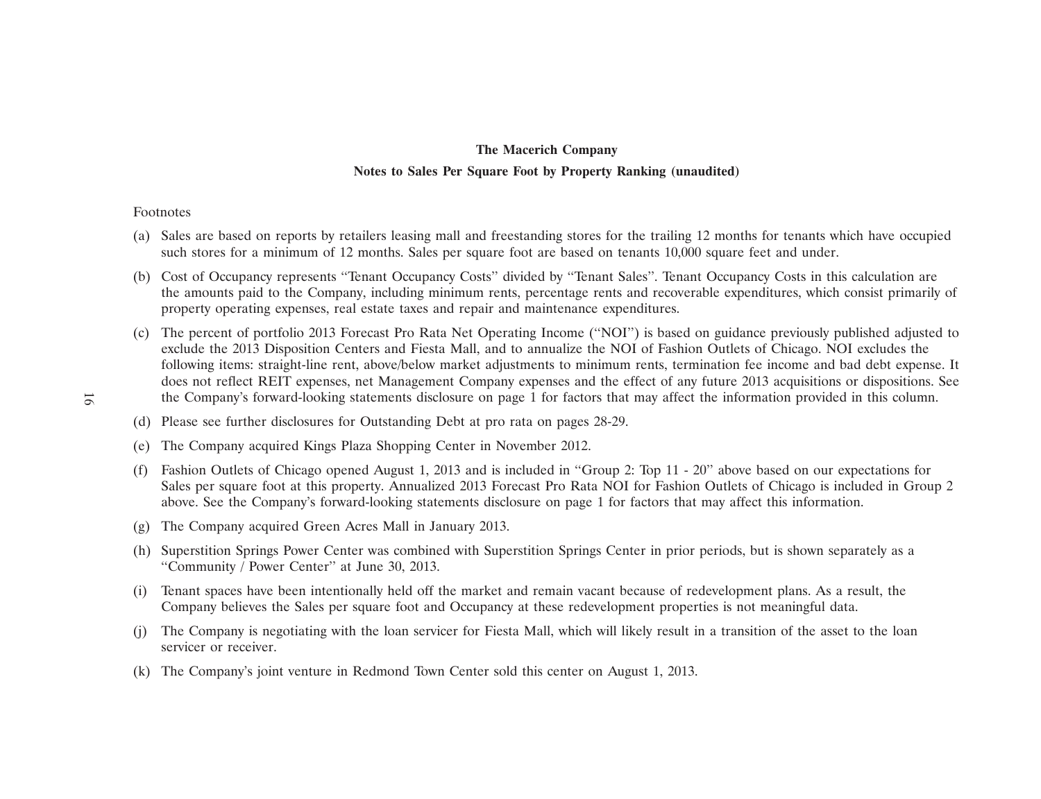## **The Macerich Company Notes to Sales Per Square Foot by Property Ranking (unaudited)**

#### Footnotes

- (a) Sales are based on reports by retailers leasing mall and freestanding stores for the trailing 12 months for tenants which have occupied such stores for a minimum of 12 months. Sales per square foot are based on tenants 10,000 square feet and under.
- (b) Cost of Occupancy represents ''Tenant Occupancy Costs'' divided by ''Tenant Sales''. Tenant Occupancy Costs in this calculation are the amounts paid to the Company, including minimum rents, percentage rents and recoverable expenditures, which consist primarily of property operating expenses, real estate taxes and repair and maintenance expenditures.
- (c) The percent of portfolio 2013 Forecast Pro Rata Net Operating Income (''NOI'') is based on guidance previously published adjusted to exclude the 2013 Disposition Centers and Fiesta Mall, and to annualize the NOI of Fashion Outlets of Chicago. NOI excludes the following items: straight-line rent, above/below market adjustments to minimum rents, termination fee income and bad debt expense. It does not reflect REIT expenses, net Management Company expenses and the effect of any future 2013 acquisitions or dispositions. See the Company's forward-looking statements disclosure on page 1 for factors that may affect the information provided in this column.
- (d) Please see further disclosures for Outstanding Debt at pro rata on pages 28-29.
- (e) The Company acquired Kings Plaza Shopping Center in November 2012.
- (f) Fashion Outlets of Chicago opened August 1, 2013 and is included in ''Group 2: Top 11 20'' above based on our expectations for Sales per square foot at this property. Annualized 2013 Forecast Pro Rata NOI for Fashion Outlets of Chicago is included in Group 2 above. See the Company's forward-looking statements disclosure on page 1 for factors that may affect this information.
- (g) The Company acquired Green Acres Mall in January 2013.
- (h) Superstition Springs Power Center was combined with Superstition Springs Center in prior periods, but is shown separately as a ''Community / Power Center'' at June 30, 2013.
- (i) Tenant spaces have been intentionally held off the market and remain vacant because of redevelopment plans. As a result, the Company believes the Sales per square foot and Occupancy at these redevelopment properties is not meaningful data.
- (j) The Company is negotiating with the loan servicer for Fiesta Mall, which will likely result in a transition of the asset to the loan servicer or receiver.
- (k) The Company's joint venture in Redmond Town Center sold this center on August 1, 2013.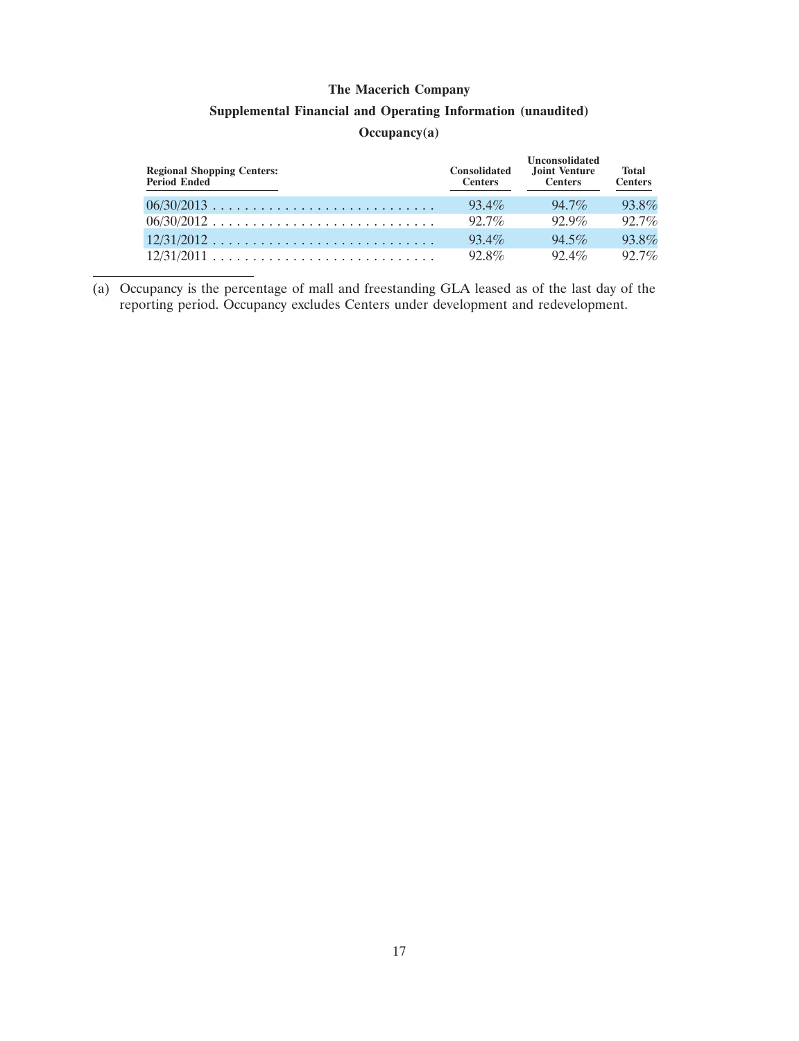## **Supplemental Financial and Operating Information (unaudited)**

## **Occupancy(a)**

| <b>Regional Shopping Centers:</b><br>Period Ended | <b>Consolidated</b><br><b>Centers</b> | <b>Unconsolidated</b><br>Joint Venture<br><b>Centers</b> | <b>Total</b><br><b>Centers</b> |
|---------------------------------------------------|---------------------------------------|----------------------------------------------------------|--------------------------------|
| 06/30/2013                                        | $93.4\%$                              | $94.7\%$                                                 | 93.8%                          |
| $06/30/2012$                                      | $92.7\%$                              | $92.9\%$                                                 | 92.7%                          |
| $12/31/2012$                                      | $93.4\%$                              | $94.5\%$                                                 | 93.8%                          |
|                                                   | $92.8\%$                              | $92.4\%$                                                 | $92.7\%$                       |

(a) Occupancy is the percentage of mall and freestanding GLA leased as of the last day of the reporting period. Occupancy excludes Centers under development and redevelopment.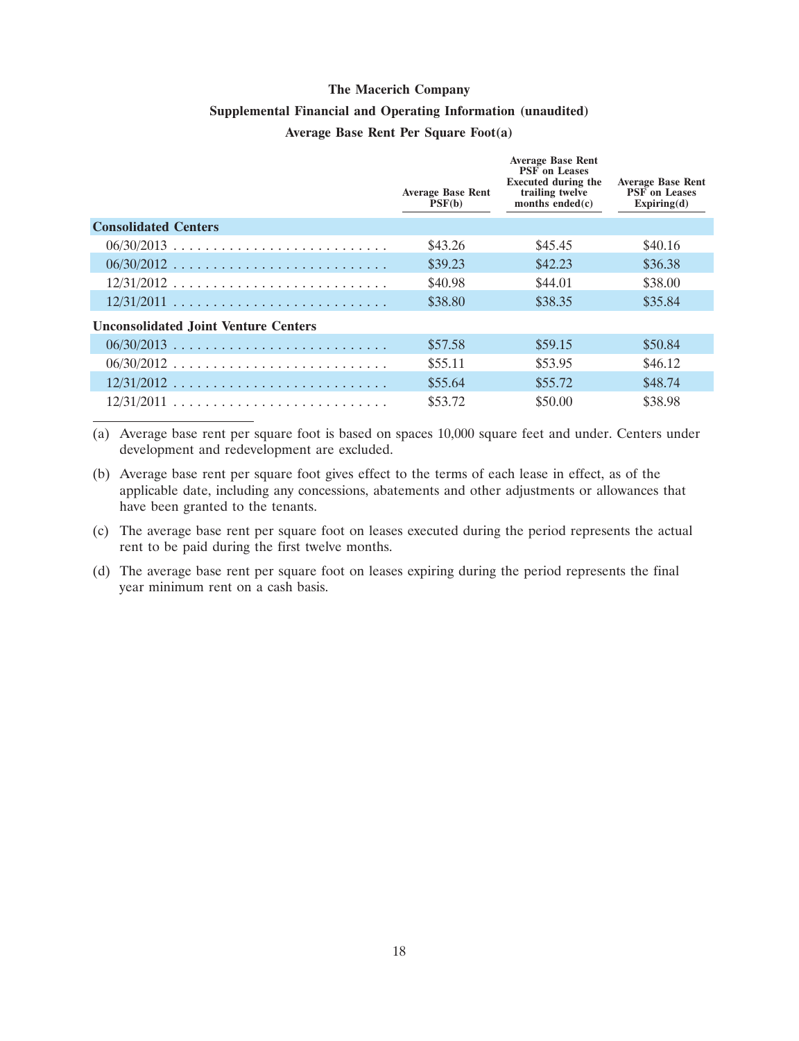#### **Supplemental Financial and Operating Information (unaudited)**

#### **Average Base Rent Per Square Foot(a)**

|                                             | <b>Average Base Rent</b><br>PSF(b) | <b>Average Base Rent</b><br><b>PSF</b> on Leases<br><b>Executed during the</b><br>trailing twelve<br>months ended $(c)$ | <b>Average Base Rent</b><br><b>PSF</b> on Leases<br>Expiring(d) |
|---------------------------------------------|------------------------------------|-------------------------------------------------------------------------------------------------------------------------|-----------------------------------------------------------------|
| <b>Consolidated Centers</b>                 |                                    |                                                                                                                         |                                                                 |
| $06/30/2013$                                | \$43.26                            | \$45.45                                                                                                                 | \$40.16                                                         |
| $06/30/2012$                                | \$39.23                            | \$42.23                                                                                                                 | \$36.38                                                         |
| $12/31/2012$                                | \$40.98                            | \$44.01                                                                                                                 | \$38.00                                                         |
|                                             | \$38.80                            | \$38.35                                                                                                                 | \$35.84                                                         |
| <b>Unconsolidated Joint Venture Centers</b> |                                    |                                                                                                                         |                                                                 |
|                                             | \$57.58                            | \$59.15                                                                                                                 | \$50.84                                                         |
| $06/30/2012$                                | \$55.11                            | \$53.95                                                                                                                 | \$46.12                                                         |
| $12/31/2012$                                | \$55.64                            | \$55.72                                                                                                                 | \$48.74                                                         |
| $12/31/2011$                                | \$53.72                            | \$50.00                                                                                                                 | \$38.98                                                         |

(a) Average base rent per square foot is based on spaces 10,000 square feet and under. Centers under development and redevelopment are excluded.

- (b) Average base rent per square foot gives effect to the terms of each lease in effect, as of the applicable date, including any concessions, abatements and other adjustments or allowances that have been granted to the tenants.
- (c) The average base rent per square foot on leases executed during the period represents the actual rent to be paid during the first twelve months.
- (d) The average base rent per square foot on leases expiring during the period represents the final year minimum rent on a cash basis.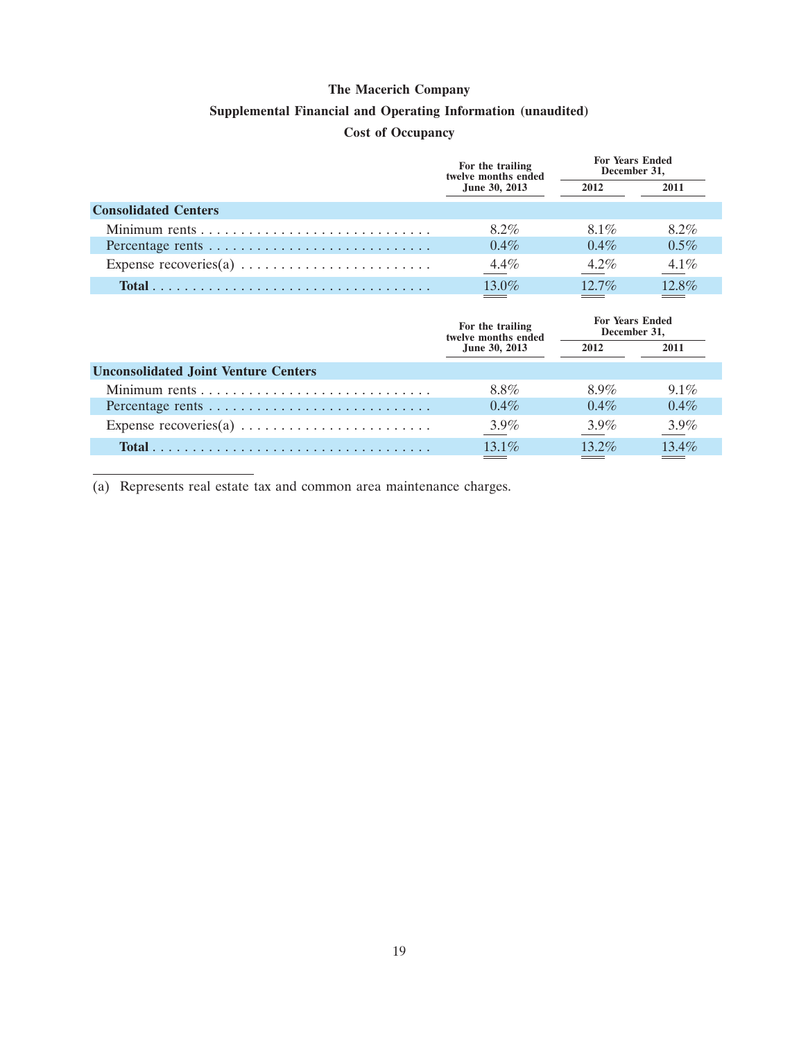#### **Supplemental Financial and Operating Information (unaudited)**

## **Cost of Occupancy**

|                                                                         | For the trailing<br>twelve months ended | <b>For Years Ended</b><br>December 31, |         |
|-------------------------------------------------------------------------|-----------------------------------------|----------------------------------------|---------|
|                                                                         | June 30, 2013                           | 2012                                   | 2011    |
| <b>Consolidated Centers</b>                                             |                                         |                                        |         |
|                                                                         | 8.2%                                    | $8.1\%$                                | $8.2\%$ |
|                                                                         | $0.4\%$                                 | $0.4\%$                                | $0.5\%$ |
| Expense recoveries(a) $\dots \dots \dots \dots \dots \dots \dots \dots$ | $4.4\%$                                 | $4.2\%$                                | $4.1\%$ |
|                                                                         | 13.0%                                   | $12.7\%$                               | 12.8%   |
|                                                                         |                                         |                                        |         |
|                                                                         | For the trailing<br>twelve months ended | <b>For Years Ended</b><br>December 31, |         |
|                                                                         | June 30, 2013                           | 2012                                   | 2011    |
| <b>Unconsolidated Joint Venture Centers</b>                             |                                         |                                        |         |
|                                                                         | 8.8%                                    | $8.9\%$                                | $9.1\%$ |
|                                                                         | $0.4\%$                                 | $0.4\%$                                | $0.4\%$ |

**Total** ................................... 13.1% 13.2% 13.4%

(a) Represents real estate tax and common area maintenance charges.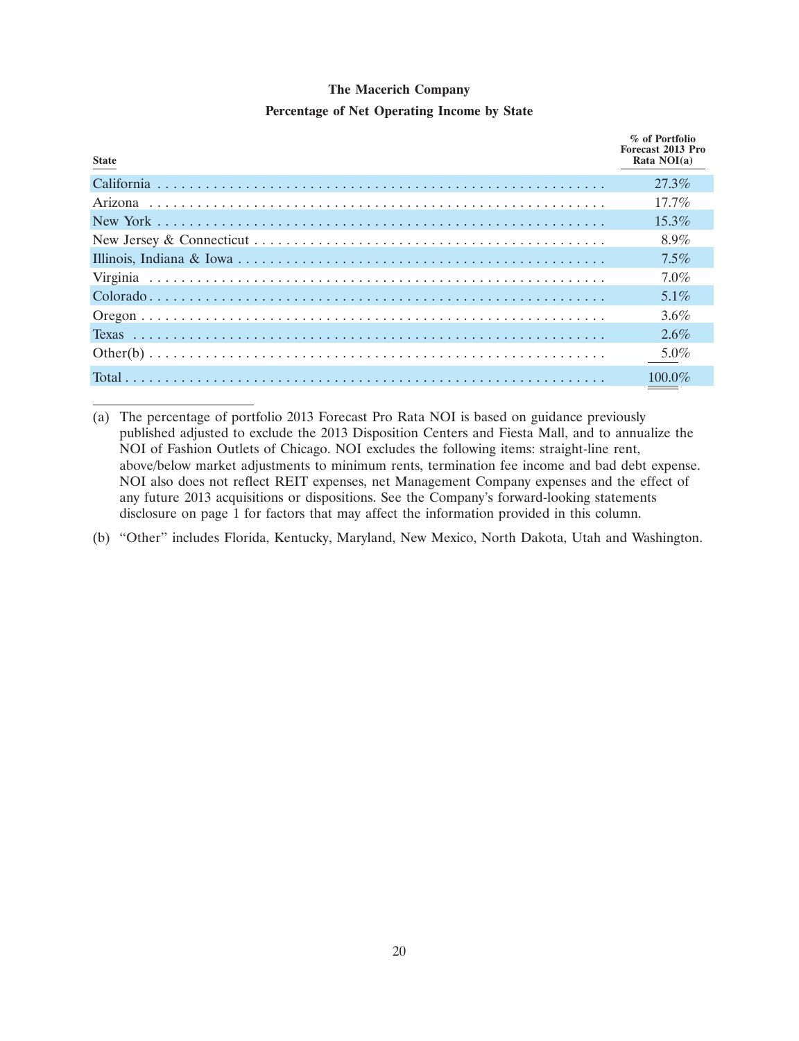| <b>State</b> | % of Portfolio<br>Forecast 2013 Pro<br>Rata $NOI(a)$ |
|--------------|------------------------------------------------------|
|              | $27.3\%$                                             |
|              | $17.7\%$                                             |
|              | $15.3\%$                                             |
|              | $8.9\%$                                              |
|              | $7.5\%$                                              |
|              | $7.0\%$                                              |
|              | $5.1\%$                                              |
|              | $3.6\%$                                              |
|              | $2.6\%$                                              |
|              | $5.0\%$                                              |
|              | $100.0\%$                                            |

**Percentage of Net Operating Income by State**

(a) The percentage of portfolio 2013 Forecast Pro Rata NOI is based on guidance previously published adjusted to exclude the 2013 Disposition Centers and Fiesta Mall, and to annualize the NOI of Fashion Outlets of Chicago. NOI excludes the following items: straight-line rent, above/below market adjustments to minimum rents, termination fee income and bad debt expense. NOI also does not reflect REIT expenses, net Management Company expenses and the effect of any future 2013 acquisitions or dispositions. See the Company's forward-looking statements disclosure on page 1 for factors that may affect the information provided in this column.

(b) ''Other'' includes Florida, Kentucky, Maryland, New Mexico, North Dakota, Utah and Washington.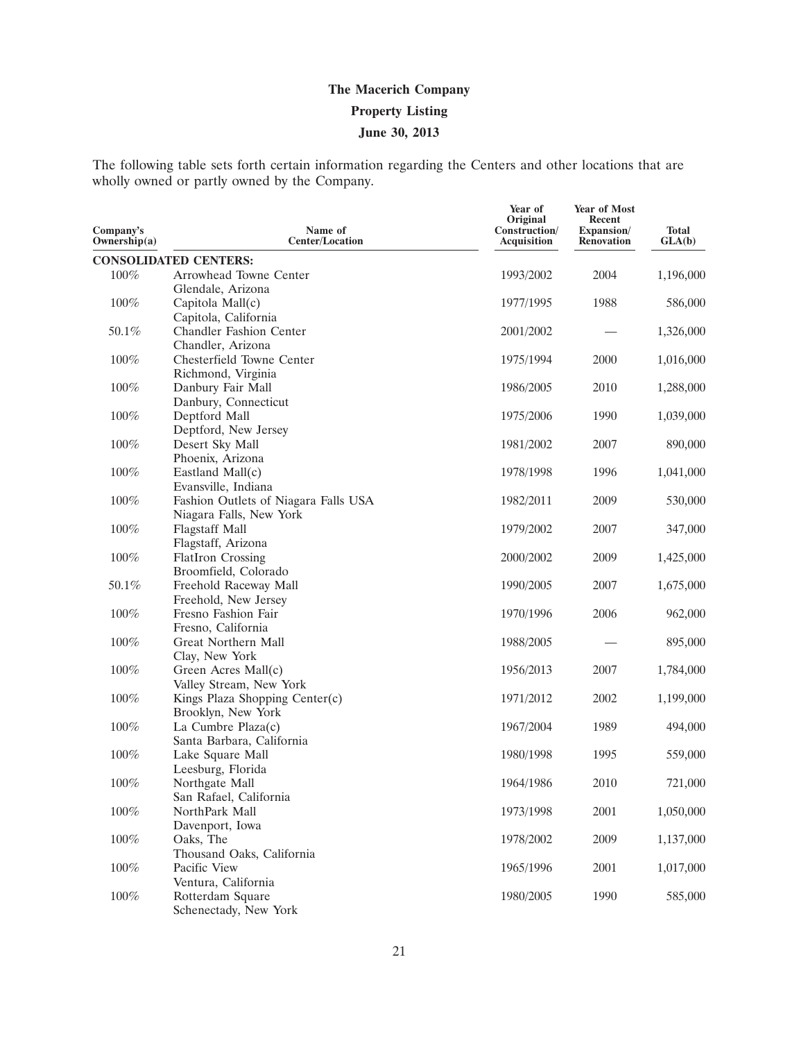The following table sets forth certain information regarding the Centers and other locations that are wholly owned or partly owned by the Company.

| Company's<br>Ownership(a) | Name of<br><b>Center/Location</b>     | Year of<br>Original<br>Construction/<br>Acquisition | <b>Year of Most</b><br>Recent<br>Expansion/<br><b>Renovation</b> | <b>Total</b><br>GLA(b) |
|---------------------------|---------------------------------------|-----------------------------------------------------|------------------------------------------------------------------|------------------------|
|                           | <b>CONSOLIDATED CENTERS:</b>          |                                                     |                                                                  |                        |
| 100%                      | Arrowhead Towne Center                | 1993/2002                                           | 2004                                                             | 1,196,000              |
|                           | Glendale, Arizona                     |                                                     |                                                                  |                        |
| 100%                      | Capitola Mall(c)                      | 1977/1995                                           | 1988                                                             | 586,000                |
|                           | Capitola, California                  |                                                     |                                                                  |                        |
| 50.1%                     | Chandler Fashion Center               | 2001/2002                                           |                                                                  | 1,326,000              |
|                           | Chandler, Arizona                     |                                                     |                                                                  |                        |
| $100\%$                   | Chesterfield Towne Center             | 1975/1994                                           | 2000                                                             | 1,016,000              |
|                           | Richmond, Virginia                    |                                                     |                                                                  |                        |
| 100%                      | Danbury Fair Mall                     | 1986/2005                                           | 2010                                                             | 1,288,000              |
|                           | Danbury, Connecticut                  |                                                     |                                                                  |                        |
| 100%                      | Deptford Mall                         | 1975/2006                                           | 1990                                                             | 1,039,000              |
|                           | Deptford, New Jersey                  |                                                     |                                                                  |                        |
| 100%                      | Desert Sky Mall                       | 1981/2002                                           | 2007                                                             | 890,000                |
| $100\%$                   | Phoenix, Arizona<br>Eastland Mall(c)  | 1978/1998                                           | 1996                                                             | 1,041,000              |
|                           | Evansville, Indiana                   |                                                     |                                                                  |                        |
| 100%                      | Fashion Outlets of Niagara Falls USA  | 1982/2011                                           | 2009                                                             | 530,000                |
|                           | Niagara Falls, New York               |                                                     |                                                                  |                        |
| 100%                      | <b>Flagstaff Mall</b>                 | 1979/2002                                           | 2007                                                             | 347,000                |
|                           | Flagstaff, Arizona                    |                                                     |                                                                  |                        |
| 100%                      | <b>FlatIron Crossing</b>              | 2000/2002                                           | 2009                                                             | 1,425,000              |
|                           | Broomfield, Colorado                  |                                                     |                                                                  |                        |
| 50.1%                     | Freehold Raceway Mall                 | 1990/2005                                           | 2007                                                             | 1,675,000              |
|                           | Freehold, New Jersey                  |                                                     |                                                                  |                        |
| 100%                      | Fresno Fashion Fair                   | 1970/1996                                           | 2006                                                             | 962,000                |
|                           | Fresno, California                    |                                                     |                                                                  |                        |
| 100%                      | Great Northern Mall                   | 1988/2005                                           |                                                                  | 895,000                |
|                           | Clay, New York                        |                                                     |                                                                  |                        |
| 100%                      | Green Acres Mall(c)                   | 1956/2013                                           | 2007                                                             | 1,784,000              |
|                           | Valley Stream, New York               |                                                     |                                                                  |                        |
| $100\%$                   | Kings Plaza Shopping Center(c)        | 1971/2012                                           | 2002                                                             | 1,199,000              |
|                           | Brooklyn, New York                    |                                                     |                                                                  |                        |
| 100%                      | La Cumbre Plaza(c)                    | 1967/2004                                           | 1989                                                             | 494,000                |
| $100\%$                   | Santa Barbara, California             |                                                     | 1995                                                             | 559,000                |
|                           | Lake Square Mall<br>Leesburg, Florida | 1980/1998                                           |                                                                  |                        |
| 100%                      | Northgate Mall                        | 1964/1986                                           | 2010                                                             | 721,000                |
|                           | San Rafael, California                |                                                     |                                                                  |                        |
| $100\%$                   | NorthPark Mall                        | 1973/1998                                           | 2001                                                             | 1,050,000              |
|                           | Davenport, Iowa                       |                                                     |                                                                  |                        |
| $100\%$                   | Oaks, The                             | 1978/2002                                           | 2009                                                             | 1,137,000              |
|                           | Thousand Oaks, California             |                                                     |                                                                  |                        |
| $100\%$                   | Pacific View                          | 1965/1996                                           | 2001                                                             | 1,017,000              |
|                           | Ventura, California                   |                                                     |                                                                  |                        |
| $100\%$                   | Rotterdam Square                      | 1980/2005                                           | 1990                                                             | 585,000                |
|                           | Schenectady, New York                 |                                                     |                                                                  |                        |
|                           |                                       |                                                     |                                                                  |                        |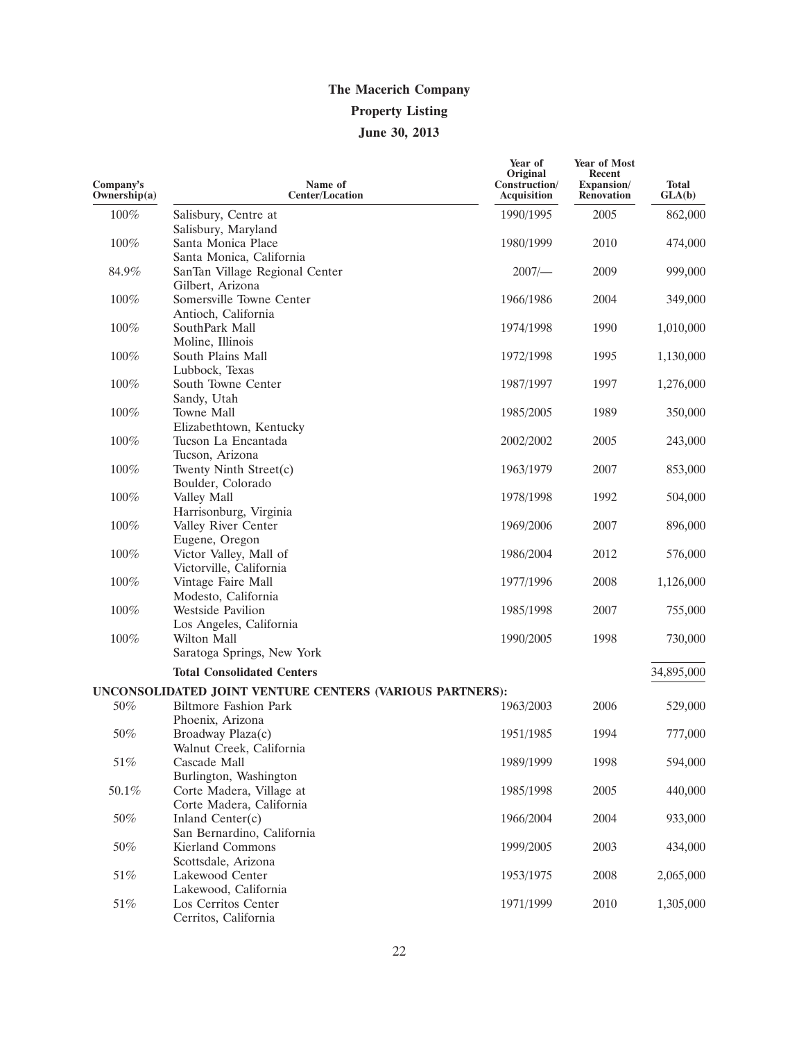| Company's<br>Ownership(a) | Name of<br><b>Center/Location</b>                        | Year of<br>Original<br>Construction/<br><b>Acquisition</b> | Year of Most<br><b>Recent</b><br>Expansion/<br><b>Renovation</b> | Total<br>GLA(b) |
|---------------------------|----------------------------------------------------------|------------------------------------------------------------|------------------------------------------------------------------|-----------------|
| $100\%$                   | Salisbury, Centre at                                     | 1990/1995                                                  | 2005                                                             | 862,000         |
|                           | Salisbury, Maryland                                      |                                                            |                                                                  |                 |
| 100%                      | Santa Monica Place                                       | 1980/1999                                                  | 2010                                                             | 474,000         |
|                           | Santa Monica, California                                 |                                                            |                                                                  |                 |
| 84.9%                     | SanTan Village Regional Center                           | 2007/                                                      | 2009                                                             | 999,000         |
|                           | Gilbert, Arizona                                         |                                                            |                                                                  |                 |
| 100%                      | Somersville Towne Center                                 | 1966/1986                                                  | 2004                                                             | 349,000         |
|                           | Antioch, California                                      |                                                            |                                                                  |                 |
| 100%                      | SouthPark Mall                                           | 1974/1998                                                  | 1990                                                             | 1,010,000       |
|                           | Moline, Illinois                                         |                                                            |                                                                  |                 |
| 100%                      | South Plains Mall                                        | 1972/1998                                                  | 1995                                                             | 1,130,000       |
|                           | Lubbock, Texas                                           |                                                            |                                                                  |                 |
| 100%                      | South Towne Center                                       | 1987/1997                                                  | 1997                                                             | 1,276,000       |
|                           | Sandy, Utah                                              |                                                            |                                                                  |                 |
| 100%                      | <b>Towne Mall</b>                                        | 1985/2005                                                  | 1989                                                             | 350,000         |
|                           | Elizabethtown, Kentucky                                  |                                                            |                                                                  |                 |
| 100%                      | Tucson La Encantada                                      | 2002/2002                                                  | 2005                                                             | 243,000         |
|                           | Tucson, Arizona                                          |                                                            |                                                                  |                 |
| 100%                      | Twenty Ninth Street(c)                                   | 1963/1979                                                  | 2007                                                             | 853,000         |
|                           | Boulder, Colorado                                        |                                                            |                                                                  |                 |
| $100\%$                   | Valley Mall                                              | 1978/1998                                                  | 1992                                                             | 504,000         |
|                           | Harrisonburg, Virginia                                   |                                                            |                                                                  |                 |
| 100%                      | Valley River Center                                      | 1969/2006                                                  | 2007                                                             | 896,000         |
|                           | Eugene, Oregon                                           |                                                            |                                                                  |                 |
| 100%                      | Victor Valley, Mall of                                   | 1986/2004                                                  | 2012                                                             | 576,000         |
|                           | Victorville, California                                  |                                                            |                                                                  |                 |
| 100%                      | Vintage Faire Mall                                       | 1977/1996                                                  | 2008                                                             | 1,126,000       |
|                           | Modesto, California                                      |                                                            |                                                                  |                 |
| 100%                      | <b>Westside Pavilion</b>                                 | 1985/1998                                                  | 2007                                                             | 755,000         |
|                           | Los Angeles, California                                  |                                                            |                                                                  |                 |
| 100%                      | Wilton Mall                                              | 1990/2005                                                  | 1998                                                             | 730,000         |
|                           | Saratoga Springs, New York                               |                                                            |                                                                  |                 |
|                           | <b>Total Consolidated Centers</b>                        |                                                            |                                                                  | 34,895,000      |
|                           |                                                          |                                                            |                                                                  |                 |
|                           | UNCONSOLIDATED JOINT VENTURE CENTERS (VARIOUS PARTNERS): |                                                            |                                                                  |                 |
| 50%                       | <b>Biltmore Fashion Park</b>                             | 1963/2003                                                  | 2006                                                             | 529,000         |
|                           | Phoenix, Arizona                                         |                                                            |                                                                  |                 |
| 50%                       | Broadway Plaza(c)                                        | 1951/1985                                                  | 1994                                                             | 777,000         |
|                           | Walnut Creek, California                                 |                                                            |                                                                  |                 |
| $51\%$                    | Cascade Mall                                             | 1989/1999                                                  | 1998                                                             | 594,000         |
|                           | Burlington, Washington                                   |                                                            |                                                                  |                 |
| 50.1%                     | Corte Madera, Village at                                 | 1985/1998                                                  | 2005                                                             | 440,000         |
|                           | Corte Madera, California                                 |                                                            |                                                                  |                 |
| 50%                       | Inland Center(c)                                         | 1966/2004                                                  | 2004                                                             | 933,000         |
|                           | San Bernardino, California                               |                                                            |                                                                  |                 |
| 50%                       | Kierland Commons                                         | 1999/2005                                                  | 2003                                                             | 434,000         |
|                           | Scottsdale, Arizona                                      |                                                            |                                                                  |                 |
| 51%                       | Lakewood Center                                          | 1953/1975                                                  | 2008                                                             | 2,065,000       |
| 51%                       | Lakewood, California<br>Los Cerritos Center              | 1971/1999                                                  | 2010                                                             |                 |
|                           | Cerritos, California                                     |                                                            |                                                                  | 1,305,000       |
|                           |                                                          |                                                            |                                                                  |                 |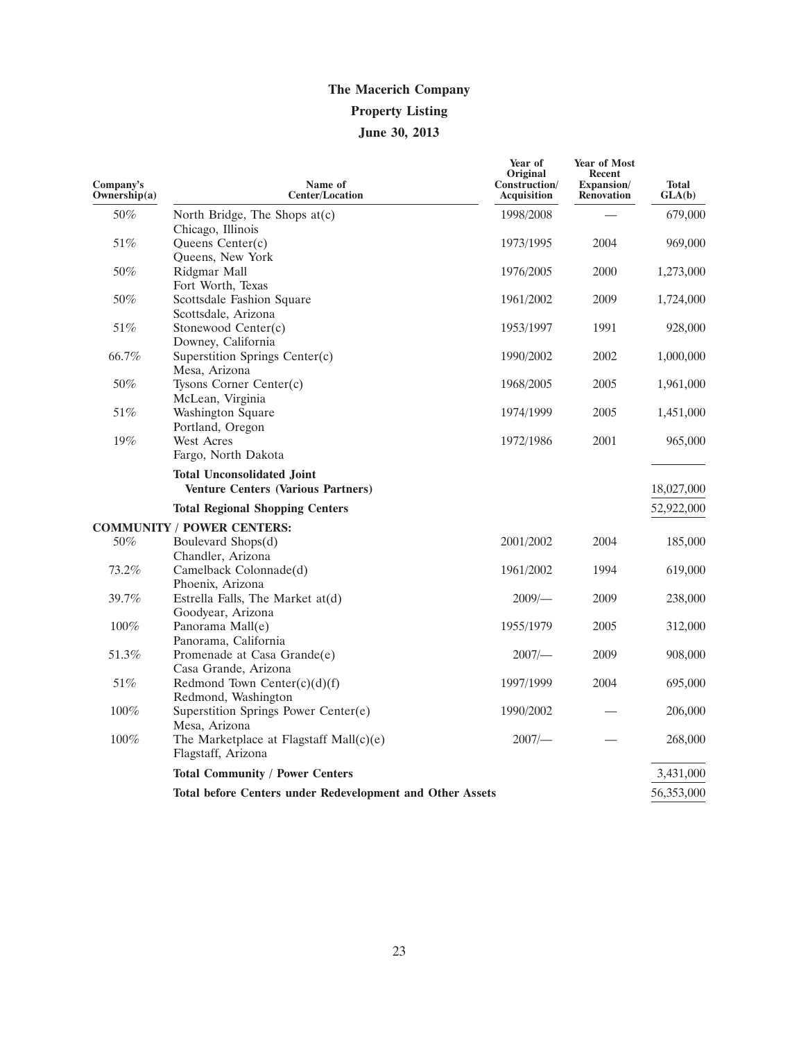| Company's<br>Ownership(a) | Name of<br><b>Center/Location</b>                                              | Year of<br>Original<br>Construction/<br><b>Acquisition</b> | Year of Most<br>Recent<br>Expansion/<br><b>Renovation</b> | <b>Total</b><br>GLA(b) |
|---------------------------|--------------------------------------------------------------------------------|------------------------------------------------------------|-----------------------------------------------------------|------------------------|
| 50%                       | North Bridge, The Shops at(c)<br>Chicago, Illinois                             | 1998/2008                                                  |                                                           | 679,000                |
| 51%                       | Queens Center(c)<br>Queens, New York                                           | 1973/1995                                                  | 2004                                                      | 969,000                |
| 50%                       | Ridgmar Mall<br>Fort Worth, Texas                                              | 1976/2005                                                  | 2000                                                      | 1,273,000              |
| 50%                       | Scottsdale Fashion Square<br>Scottsdale, Arizona                               | 1961/2002                                                  | 2009                                                      | 1,724,000              |
| 51%                       | Stonewood Center(c)<br>Downey, California                                      | 1953/1997                                                  | 1991                                                      | 928,000                |
| 66.7%                     | Superstition Springs Center(c)<br>Mesa, Arizona                                | 1990/2002                                                  | 2002                                                      | 1,000,000              |
| 50%                       | Tysons Corner Center(c)<br>McLean, Virginia                                    | 1968/2005                                                  | 2005                                                      | 1,961,000              |
| 51%                       | <b>Washington Square</b><br>Portland, Oregon                                   | 1974/1999                                                  | 2005                                                      | 1,451,000              |
| 19%                       | West Acres<br>Fargo, North Dakota                                              | 1972/1986                                                  | 2001                                                      | 965,000                |
|                           | <b>Total Unconsolidated Joint</b><br><b>Venture Centers (Various Partners)</b> |                                                            |                                                           | 18,027,000             |
|                           | <b>Total Regional Shopping Centers</b>                                         |                                                            |                                                           | 52,922,000             |
|                           | <b>COMMUNITY / POWER CENTERS:</b>                                              |                                                            |                                                           |                        |
| 50%                       | Boulevard Shops(d)<br>Chandler, Arizona                                        | 2001/2002                                                  | 2004                                                      | 185,000                |
| 73.2%                     | Camelback Colonnade(d)<br>Phoenix, Arizona                                     | 1961/2002                                                  | 1994                                                      | 619,000                |
| 39.7%                     | Estrella Falls, The Market at(d)<br>Goodyear, Arizona                          | $2009$ /-                                                  | 2009                                                      | 238,000                |
| 100%<br>51.3%             | Panorama Mall(e)<br>Panorama, California<br>Promenade at Casa Grande(e)        | 1955/1979<br>2007/                                         | 2005<br>2009                                              | 312,000<br>908,000     |
| 51%                       | Casa Grande, Arizona<br>Redmond Town Center $(c)(d)(f)$                        | 1997/1999                                                  | 2004                                                      | 695,000                |
| $100\%$                   | Redmond, Washington<br>Superstition Springs Power Center(e)                    | 1990/2002                                                  |                                                           | 206,000                |
| 100%                      | Mesa, Arizona<br>The Marketplace at Flagstaff Mall(c)(e)<br>Flagstaff, Arizona | $2007$ /-                                                  |                                                           | 268,000                |
|                           | <b>Total Community / Power Centers</b>                                         |                                                            |                                                           | 3,431,000              |
|                           | <b>Total before Centers under Redevelopment and Other Assets</b>               |                                                            |                                                           | 56,353,000             |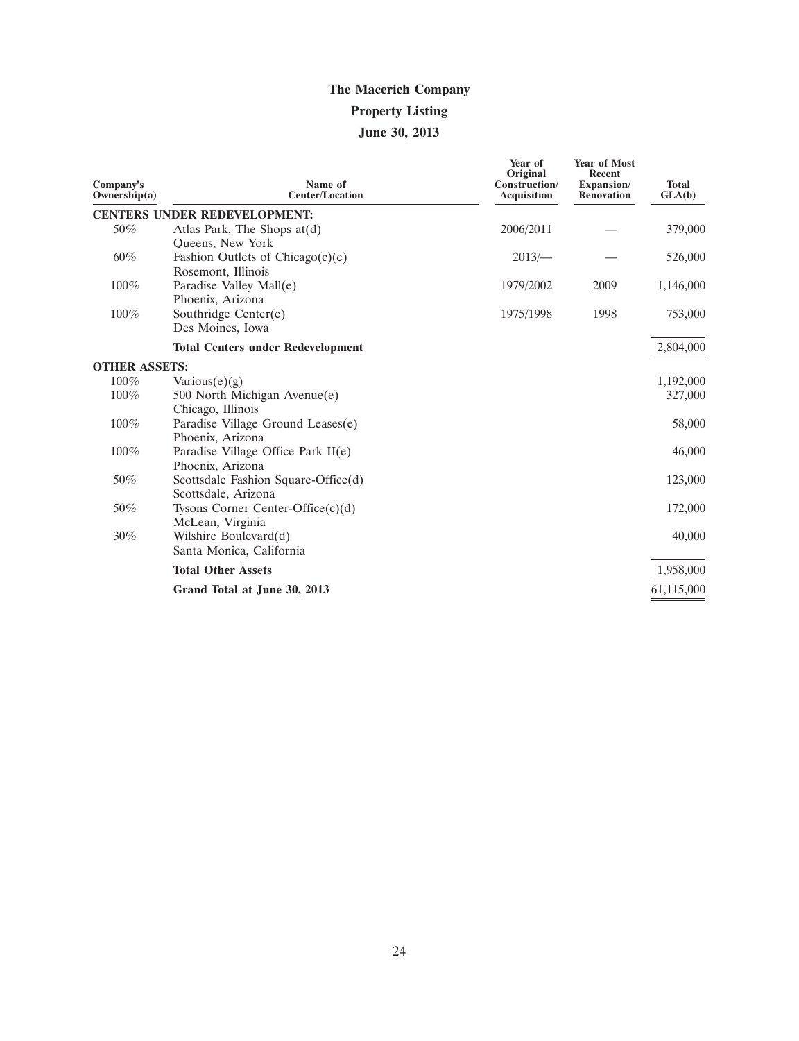# **The Macerich Company Property Listing**

# **June 30, 2013**

| Company's<br>Ownership $(a)$ | Name of<br><b>Center/Location</b>        | Year of<br>Original<br>Construction/<br><b>Acquisition</b> | <b>Year of Most</b><br><b>Recent</b><br>Expansion/<br><b>Renovation</b> | <b>Total</b><br>GLA(b) |
|------------------------------|------------------------------------------|------------------------------------------------------------|-------------------------------------------------------------------------|------------------------|
|                              | <b>CENTERS UNDER REDEVELOPMENT:</b>      |                                                            |                                                                         |                        |
| 50%                          | Atlas Park, The Shops $at(d)$            | 2006/2011                                                  |                                                                         | 379,000                |
|                              | Queens, New York                         |                                                            |                                                                         |                        |
| 60%                          | Fashion Outlets of Chicago $(c)(e)$      | 2013/                                                      |                                                                         | 526,000                |
|                              | Rosemont, Illinois                       |                                                            |                                                                         |                        |
| 100%                         | Paradise Valley Mall(e)                  | 1979/2002                                                  | 2009                                                                    | 1,146,000              |
|                              | Phoenix, Arizona                         |                                                            |                                                                         |                        |
| 100%                         | Southridge Center(e)                     | 1975/1998                                                  | 1998                                                                    | 753,000                |
|                              | Des Moines, Iowa                         |                                                            |                                                                         |                        |
|                              | <b>Total Centers under Redevelopment</b> |                                                            |                                                                         | 2,804,000              |
| <b>OTHER ASSETS:</b>         |                                          |                                                            |                                                                         |                        |
| 100%                         | $\text{Various}(e)(g)$                   |                                                            |                                                                         | 1,192,000              |
| 100%                         | 500 North Michigan Avenue(e)             |                                                            |                                                                         | 327,000                |
|                              | Chicago, Illinois                        |                                                            |                                                                         |                        |
| 100%                         | Paradise Village Ground Leases(e)        |                                                            |                                                                         | 58,000                 |
|                              | Phoenix, Arizona                         |                                                            |                                                                         |                        |
| 100%                         | Paradise Village Office Park II(e)       |                                                            |                                                                         | 46,000                 |
|                              | Phoenix, Arizona                         |                                                            |                                                                         |                        |
| 50%                          | Scottsdale Fashion Square-Office(d)      |                                                            |                                                                         | 123,000                |
|                              | Scottsdale, Arizona                      |                                                            |                                                                         |                        |
| 50%                          | Tysons Corner Center-Office $(c)(d)$     |                                                            |                                                                         | 172,000                |
|                              | McLean, Virginia                         |                                                            |                                                                         |                        |
| $30\%$                       | Wilshire Boulevard(d)                    |                                                            |                                                                         | 40,000                 |
|                              | Santa Monica, California                 |                                                            |                                                                         |                        |
|                              | <b>Total Other Assets</b>                |                                                            |                                                                         | 1,958,000              |
|                              | Grand Total at June 30, 2013             |                                                            |                                                                         | 61,115,000             |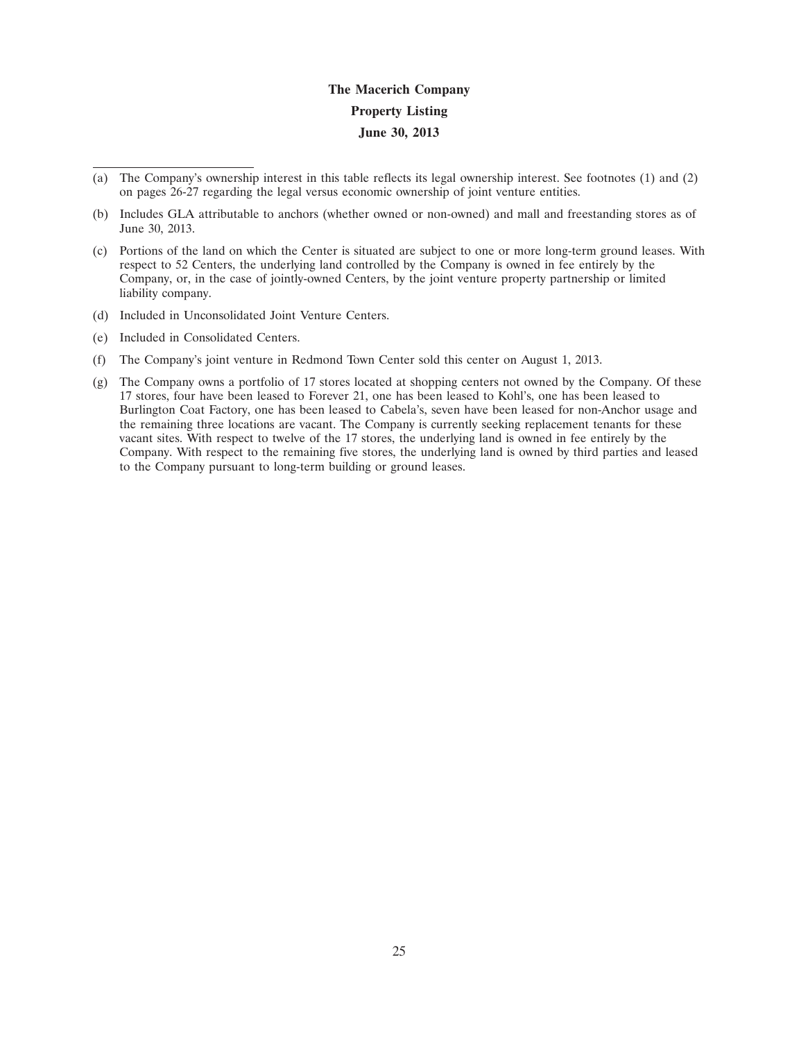- (a) The Company's ownership interest in this table reflects its legal ownership interest. See footnotes (1) and (2) on pages 26-27 regarding the legal versus economic ownership of joint venture entities.
- (b) Includes GLA attributable to anchors (whether owned or non-owned) and mall and freestanding stores as of June 30, 2013.
- (c) Portions of the land on which the Center is situated are subject to one or more long-term ground leases. With respect to 52 Centers, the underlying land controlled by the Company is owned in fee entirely by the Company, or, in the case of jointly-owned Centers, by the joint venture property partnership or limited liability company.
- (d) Included in Unconsolidated Joint Venture Centers.
- (e) Included in Consolidated Centers.
- (f) The Company's joint venture in Redmond Town Center sold this center on August 1, 2013.
- (g) The Company owns a portfolio of 17 stores located at shopping centers not owned by the Company. Of these 17 stores, four have been leased to Forever 21, one has been leased to Kohl's, one has been leased to Burlington Coat Factory, one has been leased to Cabela's, seven have been leased for non-Anchor usage and the remaining three locations are vacant. The Company is currently seeking replacement tenants for these vacant sites. With respect to twelve of the 17 stores, the underlying land is owned in fee entirely by the Company. With respect to the remaining five stores, the underlying land is owned by third parties and leased to the Company pursuant to long-term building or ground leases.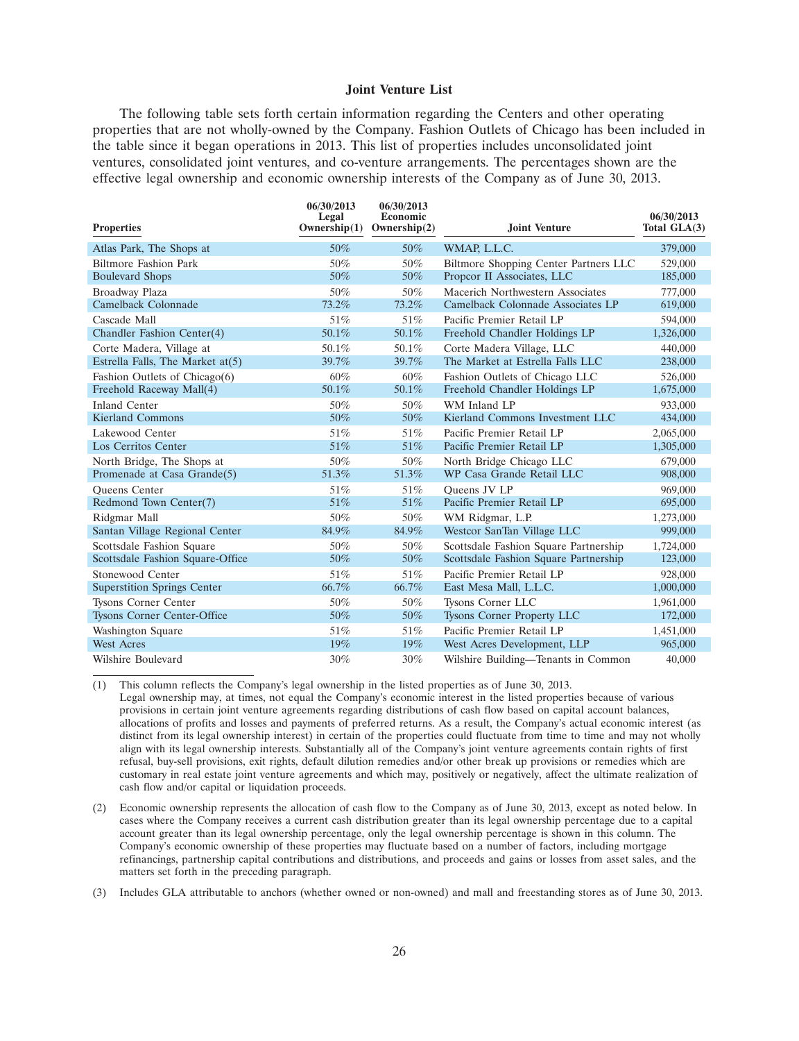#### **Joint Venture List**

The following table sets forth certain information regarding the Centers and other operating properties that are not wholly-owned by the Company. Fashion Outlets of Chicago has been included in the table since it began operations in 2013. This list of properties includes unconsolidated joint ventures, consolidated joint ventures, and co-venture arrangements. The percentages shown are the effective legal ownership and economic ownership interests of the Company as of June 30, 2013.

| <b>Properties</b>                  | 06/30/2013<br>Legal<br>Ownership $(1)$ | 06/30/2013<br>Economic<br>Ownership $(2)$ | <b>Joint Venture</b>                  | 06/30/2013<br>Total GLA(3) |
|------------------------------------|----------------------------------------|-------------------------------------------|---------------------------------------|----------------------------|
| Atlas Park, The Shops at           | 50%                                    | 50%                                       | WMAP, L.L.C.                          | 379,000                    |
| <b>Biltmore Fashion Park</b>       | 50%                                    | 50%                                       | Biltmore Shopping Center Partners LLC | 529,000                    |
| <b>Boulevard Shops</b>             | 50%                                    | 50%                                       | Propcor II Associates, LLC            | 185,000                    |
| Broadway Plaza                     | 50%                                    | 50%                                       | Macerich Northwestern Associates      | 777,000                    |
| Camelback Colonnade                | 73.2%                                  | 73.2%                                     | Camelback Colonnade Associates LP     | 619,000                    |
| Cascade Mall                       | 51%                                    | 51%                                       | Pacific Premier Retail LP             | 594,000                    |
| Chandler Fashion Center(4)         | 50.1%                                  | 50.1%                                     | Freehold Chandler Holdings LP         | 1,326,000                  |
| Corte Madera, Village at           | 50.1%                                  | 50.1%                                     | Corte Madera Village, LLC             | 440,000                    |
| Estrella Falls, The Market at(5)   | 39.7%                                  | 39.7%                                     | The Market at Estrella Falls LLC      | 238,000                    |
| Fashion Outlets of Chicago(6)      | 60%                                    | $60\%$                                    | Fashion Outlets of Chicago LLC        | 526,000                    |
| Freehold Raceway Mall(4)           | 50.1%                                  | 50.1%                                     | Freehold Chandler Holdings LP         | 1,675,000                  |
| <b>Inland Center</b>               | 50%                                    | 50%                                       | WM Inland LP                          | 933,000                    |
| Kierland Commons                   | 50%                                    | 50%                                       | Kierland Commons Investment LLC       | 434,000                    |
| Lakewood Center                    | 51%                                    | 51%                                       | Pacific Premier Retail LP             | 2,065,000                  |
| Los Cerritos Center                | 51%                                    | 51\%                                      | Pacific Premier Retail LP             | 1,305,000                  |
| North Bridge, The Shops at         | 50%                                    | 50%                                       | North Bridge Chicago LLC              | 679,000                    |
| Promenade at Casa Grande(5)        | 51.3%                                  | 51.3%                                     | WP Casa Grande Retail LLC             | 908,000                    |
| <b>Oueens</b> Center               | 51%                                    | 51%                                       | Oueens JV LP                          | 969,000                    |
| Redmond Town Center(7)             | 51%                                    | 51%                                       | Pacific Premier Retail LP             | 695,000                    |
| Ridgmar Mall                       | 50%                                    | 50%                                       | WM Ridgmar, L.P.                      | 1,273,000                  |
| Santan Village Regional Center     | 84.9%                                  | 84.9%                                     | Westcor SanTan Village LLC            | 999,000                    |
| Scottsdale Fashion Square          | 50%                                    | 50%                                       | Scottsdale Fashion Square Partnership | 1,724,000                  |
| Scottsdale Fashion Square-Office   | 50%                                    | 50%                                       | Scottsdale Fashion Square Partnership | 123,000                    |
| Stonewood Center                   | 51%                                    | 51%                                       | Pacific Premier Retail LP             | 928,000                    |
| <b>Superstition Springs Center</b> | 66.7%                                  | 66.7%                                     | East Mesa Mall, L.L.C.                | 1,000,000                  |
| <b>Tysons Corner Center</b>        | 50%                                    | 50%                                       | Tysons Corner LLC                     | 1,961,000                  |
| <b>Tysons Corner Center-Office</b> | 50%                                    | $50\%$                                    | <b>Tysons Corner Property LLC</b>     | 172,000                    |
| Washington Square                  | 51%                                    | 51%                                       | Pacific Premier Retail LP             | 1,451,000                  |
| <b>West Acres</b>                  | 19%                                    | $19\%$                                    | West Acres Development, LLP           | 965,000                    |
| Wilshire Boulevard                 | 30%                                    | 30%                                       | Wilshire Building-Tenants in Common   | 40,000                     |

(1) This column reflects the Company's legal ownership in the listed properties as of June 30, 2013. Legal ownership may, at times, not equal the Company's economic interest in the listed properties because of various provisions in certain joint venture agreements regarding distributions of cash flow based on capital account balances, allocations of profits and losses and payments of preferred returns. As a result, the Company's actual economic interest (as distinct from its legal ownership interest) in certain of the properties could fluctuate from time to time and may not wholly align with its legal ownership interests. Substantially all of the Company's joint venture agreements contain rights of first refusal, buy-sell provisions, exit rights, default dilution remedies and/or other break up provisions or remedies which are customary in real estate joint venture agreements and which may, positively or negatively, affect the ultimate realization of cash flow and/or capital or liquidation proceeds.

(2) Economic ownership represents the allocation of cash flow to the Company as of June 30, 2013, except as noted below. In cases where the Company receives a current cash distribution greater than its legal ownership percentage due to a capital account greater than its legal ownership percentage, only the legal ownership percentage is shown in this column. The Company's economic ownership of these properties may fluctuate based on a number of factors, including mortgage refinancings, partnership capital contributions and distributions, and proceeds and gains or losses from asset sales, and the matters set forth in the preceding paragraph.

(3) Includes GLA attributable to anchors (whether owned or non-owned) and mall and freestanding stores as of June 30, 2013.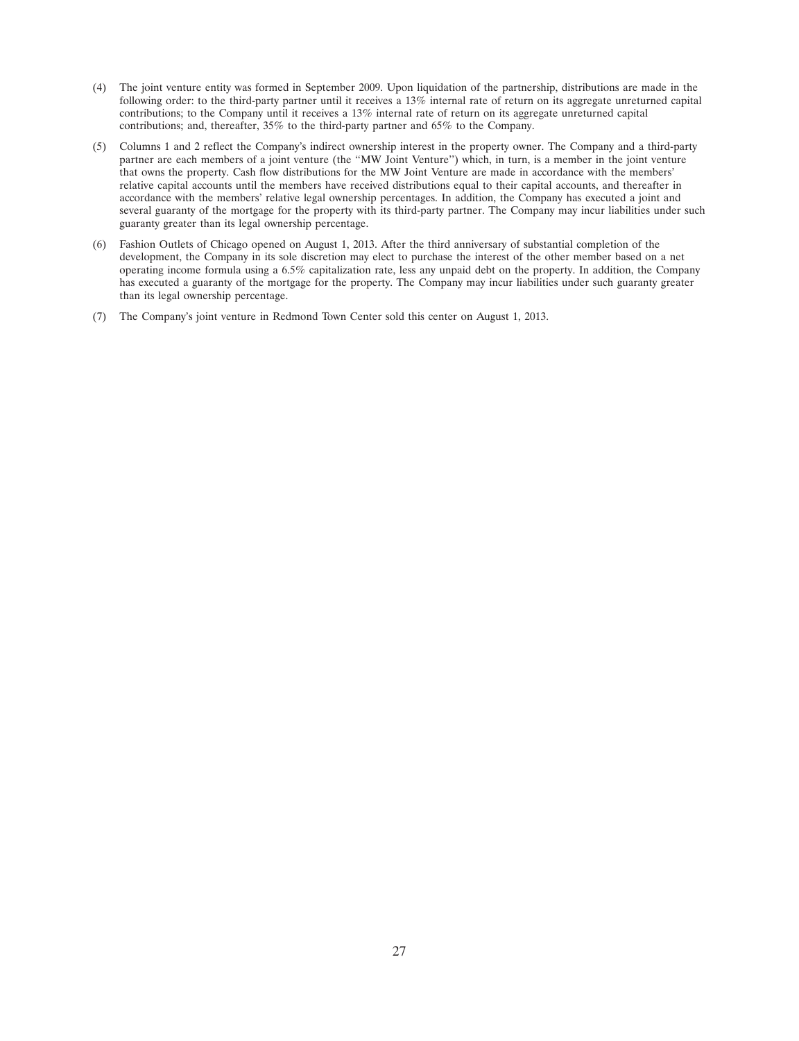- (4) The joint venture entity was formed in September 2009. Upon liquidation of the partnership, distributions are made in the following order: to the third-party partner until it receives a 13% internal rate of return on its aggregate unreturned capital contributions; to the Company until it receives a 13% internal rate of return on its aggregate unreturned capital contributions; and, thereafter, 35% to the third-party partner and 65% to the Company.
- (5) Columns 1 and 2 reflect the Company's indirect ownership interest in the property owner. The Company and a third-party partner are each members of a joint venture (the ''MW Joint Venture'') which, in turn, is a member in the joint venture that owns the property. Cash flow distributions for the MW Joint Venture are made in accordance with the members' relative capital accounts until the members have received distributions equal to their capital accounts, and thereafter in accordance with the members' relative legal ownership percentages. In addition, the Company has executed a joint and several guaranty of the mortgage for the property with its third-party partner. The Company may incur liabilities under such guaranty greater than its legal ownership percentage.
- (6) Fashion Outlets of Chicago opened on August 1, 2013. After the third anniversary of substantial completion of the development, the Company in its sole discretion may elect to purchase the interest of the other member based on a net operating income formula using a 6.5% capitalization rate, less any unpaid debt on the property. In addition, the Company has executed a guaranty of the mortgage for the property. The Company may incur liabilities under such guaranty greater than its legal ownership percentage.
- (7) The Company's joint venture in Redmond Town Center sold this center on August 1, 2013.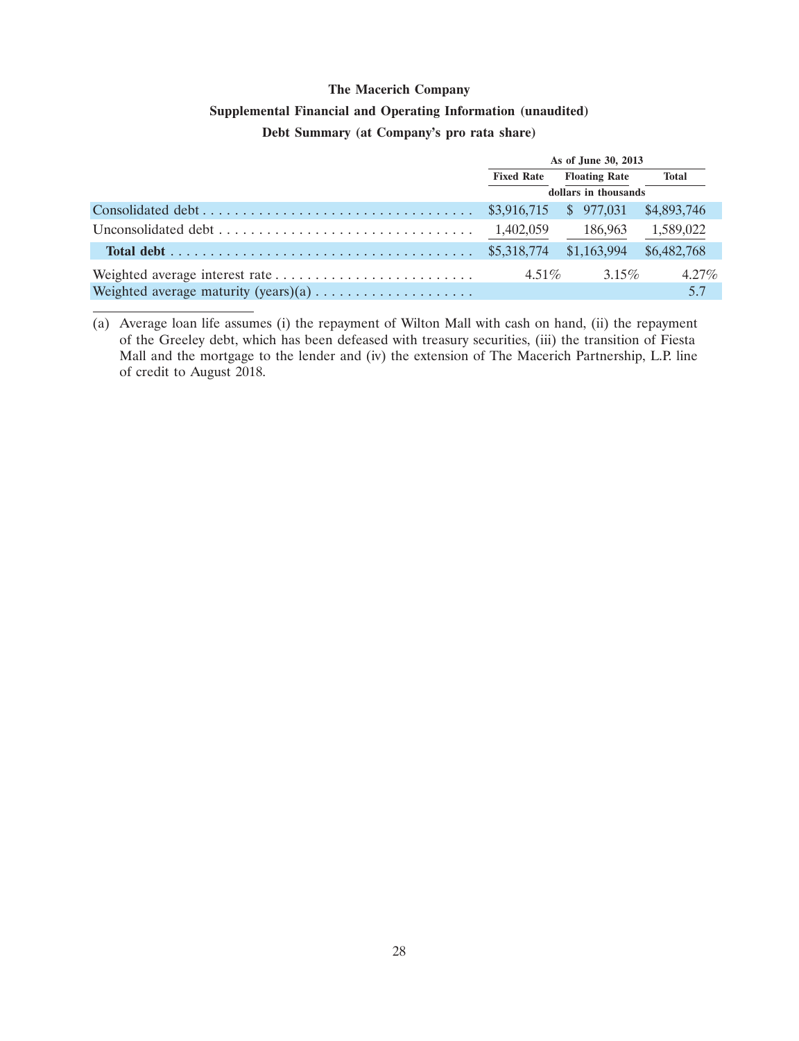### **Supplemental Financial and Operating Information (unaudited)**

## **Debt Summary (at Company's pro rata share)**

| As of June 30, 2013  |                      |              |  |
|----------------------|----------------------|--------------|--|
| <b>Fixed Rate</b>    | <b>Floating Rate</b> | <b>Total</b> |  |
| dollars in thousands |                      |              |  |
|                      |                      | \$4,893,746  |  |
| 1,402,059            | 186,963              | 1,589,022    |  |
|                      |                      | \$6,482,768  |  |
| $4.51\%$             | $3.15\%$             | $4.27\%$     |  |
|                      |                      | 5.7          |  |

<sup>(</sup>a) Average loan life assumes (i) the repayment of Wilton Mall with cash on hand, (ii) the repayment of the Greeley debt, which has been defeased with treasury securities, (iii) the transition of Fiesta Mall and the mortgage to the lender and (iv) the extension of The Macerich Partnership, L.P. line of credit to August 2018.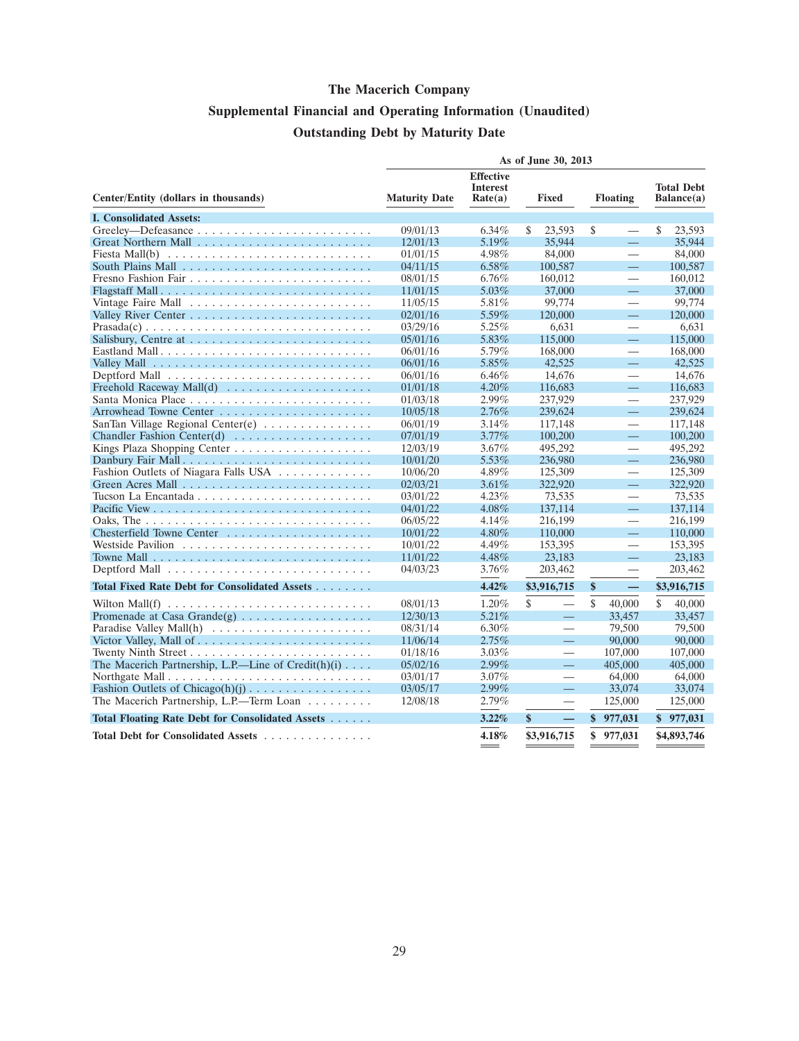# **Supplemental Financial and Operating Information (Unaudited) Outstanding Debt by Maturity Date**

|                                                                                 | As of June 30, 2013  |                                                |                                |                               |                                 |
|---------------------------------------------------------------------------------|----------------------|------------------------------------------------|--------------------------------|-------------------------------|---------------------------------|
| Center/Entity (dollars in thousands)                                            | <b>Maturity Date</b> | <b>Effective</b><br><b>Interest</b><br>Rate(a) | <b>Fixed</b>                   | <b>Floating</b>               | <b>Total Debt</b><br>Balance(a) |
| <b>I. Consolidated Assets:</b>                                                  |                      |                                                |                                |                               |                                 |
|                                                                                 | 09/01/13             | $6.34\%$                                       | S.<br>23.593                   | \$<br>$\qquad \qquad$         | \$<br>23.593                    |
|                                                                                 | 12/01/13             | 5.19%                                          | 35,944                         |                               | 35,944                          |
| Fiesta Mall(b) $\ldots \ldots \ldots \ldots \ldots \ldots \ldots \ldots \ldots$ | 01/01/15             | 4.98%                                          | 84,000                         | $\equiv$                      | 84,000                          |
|                                                                                 | 04/11/15             | $6.58\%$                                       | 100,587                        | $\equiv$                      | 100,587                         |
|                                                                                 | 08/01/15             | $6.76\%$                                       | 160,012                        | $\qquad \qquad$               | 160,012                         |
| Flagstaff Mall                                                                  | 11/01/15             | 5.03%                                          | 37,000                         | $\equiv$                      | 37,000                          |
|                                                                                 | 11/05/15             | 5.81%                                          | 99,774                         | $\qquad \qquad$               | 99,774                          |
|                                                                                 | 02/01/16             | 5.59%                                          | 120,000                        | $=$                           | 120,000                         |
|                                                                                 | 03/29/16             | 5.25%                                          | 6,631                          | $\overbrace{\phantom{12332}}$ | 6,631                           |
|                                                                                 | 05/01/16             | 5.83%                                          | 115,000                        | $\equiv$                      | 115,000                         |
| Eastland Mall                                                                   | 06/01/16             | 5.79%                                          | 168,000                        |                               | 168,000                         |
|                                                                                 | 06/01/16             | 5.85%                                          | 42,525                         | 二                             | 42,525                          |
|                                                                                 | 06/01/16             | $6.46\%$                                       | 14.676                         | $\qquad \qquad$               | 14.676                          |
|                                                                                 | 01/01/18             | 4.20%                                          | 116,683                        | $\equiv$                      | 116,683                         |
|                                                                                 | 01/03/18             | 2.99%                                          | 237,929                        | $\overline{\phantom{0}}$      | 237,929                         |
|                                                                                 | 10/05/18             | 2.76%                                          | 239,624                        | $\equiv$                      | 239,624                         |
| SanTan Village Regional Center(e)                                               | 06/01/19             | 3.14%                                          | 117,148                        |                               | 117,148                         |
|                                                                                 | 07/01/19             | 3.77%                                          | 100,200                        | $\equiv$                      | 100,200                         |
|                                                                                 | 12/03/19             | 3.67%                                          | 495,292                        |                               | 495,292                         |
| Danbury Fair Mall                                                               | 10/01/20             | 5.53%                                          | 236,980                        | $\equiv$                      | 236,980                         |
| Fashion Outlets of Niagara Falls USA                                            | 10/06/20             | 4.89%                                          | 125,309                        |                               | 125,309                         |
|                                                                                 | 02/03/21             | 3.61%                                          | 322,920                        | $\equiv$                      | 322,920                         |
|                                                                                 | 03/01/22             | $4.23\%$                                       | 73,535                         | $\overline{\phantom{0}}$      | 73,535                          |
|                                                                                 | 04/01/22             | 4.08%                                          | 137,114                        | 二                             | 137,114                         |
|                                                                                 | 06/05/22             | 4.14%                                          | 216,199                        | $\qquad \qquad$               | 216,199                         |
| Chesterfield Towne Center                                                       | 10/01/22             | 4.80%                                          | 110,000                        | $\equiv$                      | 110,000                         |
|                                                                                 | 10/01/22             | 4.49%                                          | 153,395                        | $\overline{\phantom{0}}$      | 153,395                         |
|                                                                                 | 11/01/22             | 4.48%                                          | 23,183                         | 二                             | 23,183                          |
|                                                                                 | 04/03/23             | 3.76%                                          | 203,462                        |                               | 203,462                         |
| Total Fixed Rate Debt for Consolidated Assets                                   |                      | 4.42%                                          | \$3,916,715                    | \$                            | \$3,916,715                     |
| Wilton Mall(f) $\dots \dots \dots \dots \dots \dots \dots \dots \dots \dots$    | 08/01/13             | 1.20%                                          | \$<br>$\overline{\phantom{0}}$ | \$<br>40,000                  | $\mathbf{\hat{S}}$<br>40,000    |
|                                                                                 | 12/30/13             | 5.21%                                          |                                | 33,457                        | 33,457                          |
| Paradise Valley Mall(h)                                                         | 08/31/14             | $6.30\%$                                       |                                | 79,500                        | 79,500                          |
|                                                                                 | 11/06/14             | 2.75%                                          | $\equiv$                       | 90,000                        | 90,000                          |
|                                                                                 | 01/18/16             | $3.03\%$                                       | $\overbrace{\phantom{123321}}$ | 107,000                       | 107,000                         |
| The Macerich Partnership, L.P.—Line of Credit(h)(i)                             | 05/02/16             | 2.99%                                          | $\equiv$                       | 405,000                       | 405,000                         |
|                                                                                 | 03/01/17             | $3.07\%$                                       |                                | 64,000                        | 64,000                          |
|                                                                                 | 03/05/17             | $2.99\%$                                       | 二                              | 33,074                        | 33,074                          |
| The Macerich Partnership, L.P.—Term Loan                                        | 12/08/18             | 2.79%                                          | $\qquad \qquad$                | 125,000                       | 125,000                         |
| Total Floating Rate Debt for Consolidated Assets                                |                      | 3.22%                                          | \$                             | $\mathbf{\$}$<br>977,031      | \$977,031                       |
|                                                                                 |                      |                                                |                                |                               |                                 |
| Total Debt for Consolidated Assets                                              |                      | 4.18%                                          | \$3,916,715                    | \$977,031                     | \$4,893,746                     |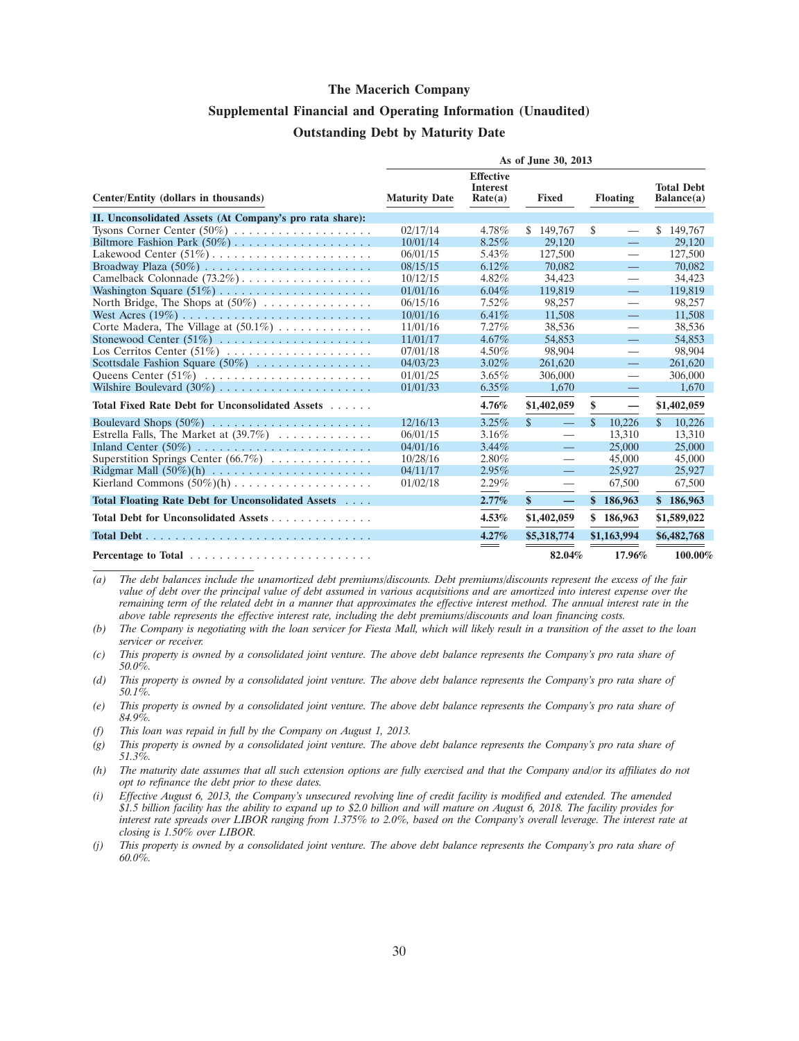## **Supplemental Financial and Operating Information (Unaudited) Outstanding Debt by Maturity Date**

|                                                                  | As of June 30, 2013  |                                                |                                           |                          |                                 |  |
|------------------------------------------------------------------|----------------------|------------------------------------------------|-------------------------------------------|--------------------------|---------------------------------|--|
| Center/Entity (dollars in thousands)                             | <b>Maturity Date</b> | <b>Effective</b><br><b>Interest</b><br>Rate(a) | <b>Fixed</b>                              | <b>Floating</b>          | <b>Total Debt</b><br>Balance(a) |  |
| II. Unconsolidated Assets (At Company's pro rata share):         |                      |                                                |                                           |                          |                                 |  |
| Tysons Corner Center $(50\%)$                                    | 02/17/14             | 4.78%                                          | \$149,767                                 | \$                       | \$149,767                       |  |
|                                                                  | 10/01/14             | 8.25%                                          | 29,120                                    | $\equiv$                 | 29,120                          |  |
|                                                                  | 06/01/15             | 5.43%                                          | 127,500                                   | $\overline{\phantom{0}}$ | 127,500                         |  |
|                                                                  | 08/15/15             | 6.12%                                          | 70,082                                    | $\overline{\phantom{0}}$ | 70.082                          |  |
|                                                                  | 10/12/15             | $4.82\%$                                       | 34,423                                    | $\overline{\phantom{0}}$ | 34,423                          |  |
|                                                                  | 01/01/16             | $6.04\%$                                       | 119,819                                   | $\equiv$                 | 119,819                         |  |
| North Bridge, The Shops at $(50\%)$                              | 06/15/16             | 7.52%                                          | 98,257                                    |                          | 98,257                          |  |
|                                                                  | 10/01/16             | 6.41%                                          | 11,508                                    |                          | 11,508                          |  |
| Corte Madera, The Village at $(50.1\%) \dots \dots \dots \dots$  | 11/01/16             | 7.27%                                          | 38.536                                    | $\overline{\phantom{0}}$ | 38,536                          |  |
| Stonewood Center $(51\%)$                                        | 11/01/17             | $4.67\%$                                       | 54,853                                    | $\qquad \qquad -$        | 54,853                          |  |
| Los Cerritos Center $(51\%)$                                     | 07/01/18             | 4.50%                                          | 98,904                                    | —                        | 98.904                          |  |
| Scottsdale Fashion Square $(50\%)$                               | 04/03/23             | $3.02\%$                                       | 261,620                                   | $\overline{\phantom{0}}$ | 261,620                         |  |
|                                                                  | 01/01/25             | $3.65\%$                                       | 306,000                                   | $\overline{\phantom{m}}$ | 306,000                         |  |
|                                                                  | 01/01/33             | $6.35\%$                                       | 1.670                                     | $\equiv$                 | 1.670                           |  |
| Total Fixed Rate Debt for Unconsolidated Assets                  |                      | 4.76%                                          | \$1,402,059                               | \$                       | \$1,402,059                     |  |
|                                                                  | 12/16/13             | 3.25%                                          | $\mathcal{S}$<br>$\overline{\phantom{0}}$ | $\mathbf{\$}$<br>10,226  | \$.<br>10,226                   |  |
| Estrella Falls, The Market at $(39.7\%) \dots \dots \dots \dots$ | 06/01/15             | 3.16%                                          | —                                         | 13.310                   | 13.310                          |  |
| Inland Center $(50\%)$                                           | 04/01/16             | $3.44\%$                                       | $\equiv$                                  | 25,000                   | 25,000                          |  |
| Superstition Springs Center $(66.7\%) \dots \dots \dots \dots$   | 10/28/16             | $2.80\%$                                       | $\overline{\phantom{0}}$                  | 45,000                   | 45,000                          |  |
|                                                                  | 04/11/17             | 2.95%                                          | $\frac{1}{2}$                             | 25,927                   | 25,927                          |  |
|                                                                  | 01/02/18             | 2.29%                                          | $\overline{\phantom{0}}$                  | 67,500                   | 67,500                          |  |
| Total Floating Rate Debt for Unconsolidated Assets               |                      | 2.77%                                          | $\mathbf{s}$<br>$\equiv$                  | \$186,963                | \$186,963                       |  |
| Total Debt for Unconsolidated Assets                             |                      | 4.53%                                          | \$1,402,059                               | \$186,963                | \$1,589,022                     |  |
|                                                                  |                      | 4.27%                                          | \$5,318,774                               | \$1,163,994              | \$6,482,768                     |  |
|                                                                  |                      | $\hspace{0.05cm} =$                            | 82.04%                                    | 17.96%                   | 100.00%                         |  |

*(a) The debt balances include the unamortized debt premiums/discounts. Debt premiums/discounts represent the excess of the fair value of debt over the principal value of debt assumed in various acquisitions and are amortized into interest expense over the remaining term of the related debt in a manner that approximates the effective interest method. The annual interest rate in the above table represents the effective interest rate, including the debt premiums/discounts and loan financing costs.*

- *(b) The Company is negotiating with the loan servicer for Fiesta Mall, which will likely result in a transition of the asset to the loan servicer or receiver.*
- *(c) This property is owned by a consolidated joint venture. The above debt balance represents the Company's pro rata share of 50.0%.*
- *(d) This property is owned by a consolidated joint venture. The above debt balance represents the Company's pro rata share of 50.1%.*
- *(e) This property is owned by a consolidated joint venture. The above debt balance represents the Company's pro rata share of 84.9%.*
- *(f) This loan was repaid in full by the Company on August 1, 2013.*
- *(g) This property is owned by a consolidated joint venture. The above debt balance represents the Company's pro rata share of 51.3%.*
- *(h) The maturity date assumes that all such extension options are fully exercised and that the Company and/or its affiliates do not opt to refinance the debt prior to these dates.*
- *(i) Effective August 6, 2013, the Company's unsecured revolving line of credit facility is modified and extended. The amended \$1.5 billion facility has the ability to expand up to \$2.0 billion and will mature on August 6, 2018. The facility provides for interest rate spreads over LIBOR ranging from 1.375% to 2.0%, based on the Company's overall leverage. The interest rate at closing is 1.50% over LIBOR.*

*(j) This property is owned by a consolidated joint venture. The above debt balance represents the Company's pro rata share of 60.0%.*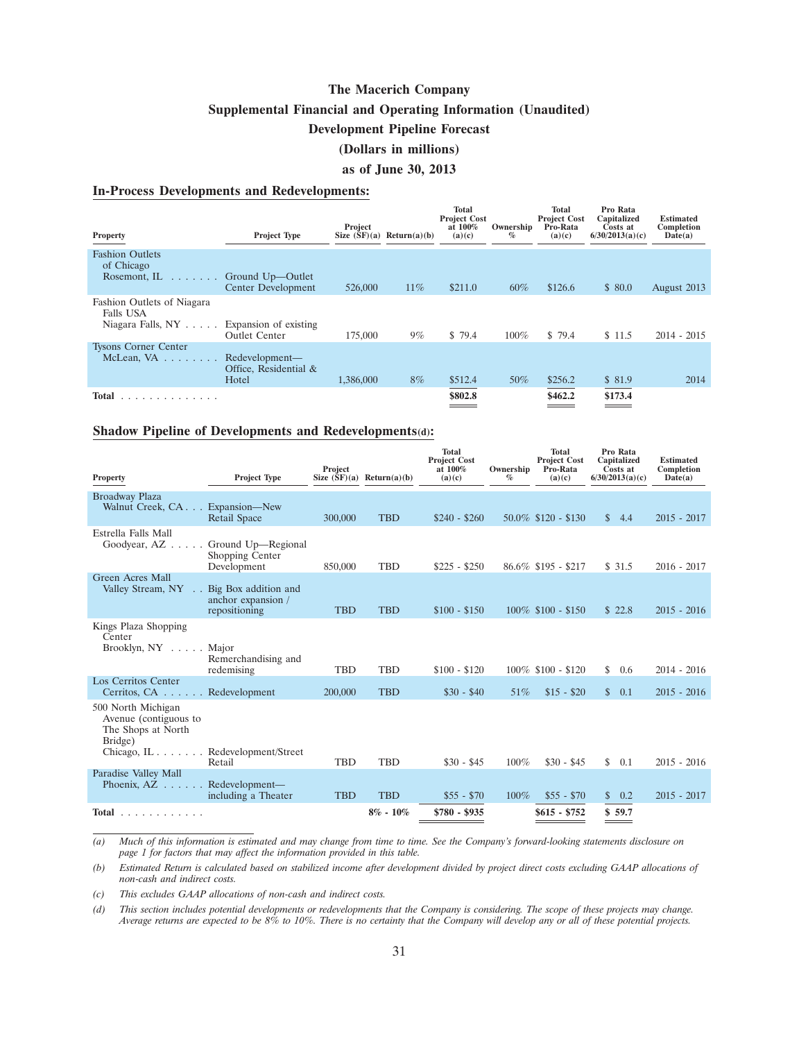**Supplemental Financial and Operating Information (Unaudited)**

#### **Development Pipeline Forecast**

## **(Dollars in millions)**

#### **as of June 30, 2013**

#### **In-Process Developments and Redevelopments:**

| <b>Property</b>                                                                | <b>Project Type</b>                                                 | Project            | Size $(SF)(a)$ Return $(a)(b)$ | Total<br><b>Project Cost</b><br>at 100%<br>(a)(c) | Ownership<br>$\%$ | Total<br><b>Project Cost</b><br>Pro-Rata<br>(a)(c) | Pro Rata<br>Capitalized<br>Costs at<br>6/30/2013(a)(c) | <b>Estimated</b><br>Completion<br>Date(a) |
|--------------------------------------------------------------------------------|---------------------------------------------------------------------|--------------------|--------------------------------|---------------------------------------------------|-------------------|----------------------------------------------------|--------------------------------------------------------|-------------------------------------------|
| <b>Fashion Outlets</b><br>of Chicago<br>Rosemont, IL<br>and a series of        | Ground Up-Outlet                                                    |                    |                                | \$211.0                                           | $60\%$            | \$126.6                                            | \$80.0                                                 |                                           |
| Fashion Outlets of Niagara<br><b>Falls USA</b><br>Niagara Falls, $NY \ldots$ . | Center Development<br>Expansion of existing<br><b>Outlet Center</b> | 526,000<br>175,000 | $11\%$<br>$9\%$                | \$ 79.4                                           | $100\%$           | \$79.4                                             | \$11.5                                                 | August 2013<br>$2014 - 2015$              |
| <b>Tysons Corner Center</b><br>McLean, $VA$                                    | Redevelopment—<br>Office, Residential &<br>Hotel                    | 1.386,000          | $8\%$                          | \$512.4                                           | 50%               | \$256.2                                            | \$81.9                                                 | 2014                                      |
| Total<br>.                                                                     |                                                                     |                    |                                | \$802.8                                           |                   | \$462.2                                            | \$173.4                                                |                                           |

#### **Shadow Pipeline of Developments and Redevelopments(d):**

| <b>Property</b>                                                                                                  | <b>Project Type</b>                 | Project    | Size $(SF)(a)$ Return $(a)(b)$ | <b>Total</b><br><b>Project Cost</b><br>at 100%<br>(a)(c) | Ownership<br>$\%$ | <b>Total</b><br><b>Project Cost</b><br>Pro-Rata<br>(a)(c) | Pro Rata<br>Capitalized<br>Costs at<br>6/30/2013(a)(c) | <b>Estimated</b><br>Completion<br>Date(a) |
|------------------------------------------------------------------------------------------------------------------|-------------------------------------|------------|--------------------------------|----------------------------------------------------------|-------------------|-----------------------------------------------------------|--------------------------------------------------------|-------------------------------------------|
| Broadway Plaza<br>Walnut Creek, CA. Expansion—New                                                                | Retail Space                        | 300,000    | <b>TBD</b>                     | $$240 - $260$                                            |                   | $50.0\%$ \$120 - \$130                                    | \$4.4                                                  | $2015 - 2017$                             |
| Estrella Falls Mall<br>Goodyear, AZ Ground Up—Regional                                                           | Shopping Center<br>Development      | 850,000    | <b>TBD</b>                     | $$225 - $250$                                            |                   | $86.6\%$ \$195 - \$217                                    | \$31.5                                                 | $2016 - 2017$                             |
| Green Acres Mall<br>Valley Stream, NY Big Box addition and                                                       | anchor expansion /<br>repositioning | <b>TBD</b> | <b>TBD</b>                     | $$100 - $150$                                            |                   | $100\%$ \$100 - \$150                                     | \$22.8                                                 | $2015 - 2016$                             |
| Kings Plaza Shopping<br>Center<br>Brooklyn, $NY$ Major                                                           | Remerchandising and<br>redemising   | <b>TBD</b> | <b>TBD</b>                     | $$100 - $120$                                            |                   | $100\%$ \$100 - \$120                                     | \$0.6                                                  | $2014 - 2016$                             |
| Los Cerritos Center<br>Cerritos, CA Redevelopment                                                                |                                     | 200,000    | <b>TBD</b>                     | $$30 - $40$                                              | 51\%              | $$15 - $20$                                               | \$ 0.1                                                 | $2015 - 2016$                             |
| 500 North Michigan<br>Avenue (contiguous to<br>The Shops at North<br>Bridge)<br>Chicago, IL Redevelopment/Street | Retail                              | <b>TBD</b> | <b>TBD</b>                     | $$30 - $45$                                              | $100\%$           | $$30 - $45$                                               | \$ 0.1                                                 | $2015 - 2016$                             |
| Paradise Valley Mall<br>Phoenix, $AZ \dots$ . Redevelopment—                                                     | including a Theater                 | <b>TBD</b> | <b>TBD</b>                     | $$55 - $70$                                              | $100\%$           | $$55 - $70$                                               | \$ 0.2                                                 | $2015 - 2017$                             |
| Total $\ldots$                                                                                                   |                                     |            | $8\% - 10\%$                   | $$780 - $935$                                            |                   | $$615 - $752$                                             | \$59.7                                                 |                                           |

*(a) Much of this information is estimated and may change from time to time. See the Company's forward-looking statements disclosure on page 1 for factors that may affect the information provided in this table.*

*(b) Estimated Return is calculated based on stabilized income after development divided by project direct costs excluding GAAP allocations of non-cash and indirect costs.*

*(c) This excludes GAAP allocations of non-cash and indirect costs.*

*(d) This section includes potential developments or redevelopments that the Company is considering. The scope of these projects may change. Average returns are expected to be 8% to 10%. There is no certainty that the Company will develop any or all of these potential projects.*